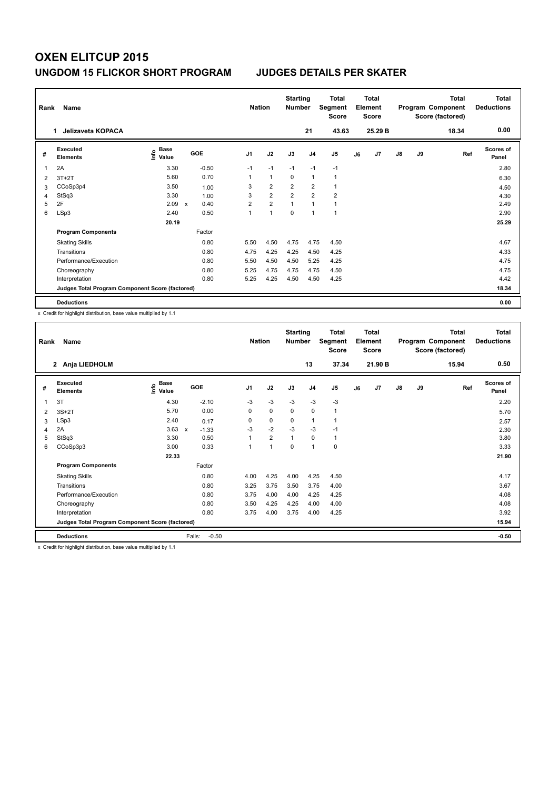| Rank | Name<br>Jelizaveta KOPACA                       |                           |              |         |                | <b>Nation</b>  |                | <b>Starting</b><br><b>Number</b> | Total<br>Segment<br><b>Score</b> |    | <b>Total</b><br>Element<br><b>Score</b> |               |    | <b>Total</b><br>Program Component<br>Score (factored) | Total<br><b>Deductions</b> |
|------|-------------------------------------------------|---------------------------|--------------|---------|----------------|----------------|----------------|----------------------------------|----------------------------------|----|-----------------------------------------|---------------|----|-------------------------------------------------------|----------------------------|
|      |                                                 |                           |              |         |                |                |                | 21                               | 43.63                            |    | 25.29 B                                 |               |    | 18.34                                                 | 0.00                       |
| #    | Executed<br><b>Elements</b>                     | Base<br>e Base<br>⊆ Value |              | GOE     | J1             | J2             | J3             | J <sub>4</sub>                   | J <sub>5</sub>                   | J6 | J7                                      | $\mathsf{J}8$ | J9 | Ref                                                   | Scores of<br>Panel         |
|      | 2A                                              | 3.30                      |              | $-0.50$ | $-1$           | $-1$           | $-1$           | $-1$                             | $-1$                             |    |                                         |               |    |                                                       | 2.80                       |
| 2    | $3T+2T$                                         | 5.60                      |              | 0.70    | 1              | $\mathbf{1}$   | 0              | $\mathbf{1}$                     | $\mathbf{1}$                     |    |                                         |               |    |                                                       | 6.30                       |
| 3    | CCoSp3p4                                        | 3.50                      |              | 1.00    | 3              | $\overline{2}$ | $\overline{2}$ | $\overline{2}$                   | $\mathbf{1}$                     |    |                                         |               |    |                                                       | 4.50                       |
| 4    | StSq3                                           | 3.30                      |              | 1.00    | 3              | $\overline{2}$ | $\overline{2}$ | $\overline{2}$                   | $\overline{2}$                   |    |                                         |               |    |                                                       | 4.30                       |
| 5    | 2F                                              | 2.09                      | $\mathbf{x}$ | 0.40    | $\overline{2}$ | $\overline{2}$ | 1              | 1                                | $\mathbf{1}$                     |    |                                         |               |    |                                                       | 2.49                       |
| 6    | LSp3                                            | 2.40                      |              | 0.50    | 1              | 1              | $\Omega$       | $\overline{1}$                   | 1                                |    |                                         |               |    |                                                       | 2.90                       |
|      |                                                 | 20.19                     |              |         |                |                |                |                                  |                                  |    |                                         |               |    |                                                       | 25.29                      |
|      | <b>Program Components</b>                       |                           |              | Factor  |                |                |                |                                  |                                  |    |                                         |               |    |                                                       |                            |
|      | <b>Skating Skills</b>                           |                           |              | 0.80    | 5.50           | 4.50           | 4.75           | 4.75                             | 4.50                             |    |                                         |               |    |                                                       | 4.67                       |
|      | Transitions                                     |                           |              | 0.80    | 4.75           | 4.25           | 4.25           | 4.50                             | 4.25                             |    |                                         |               |    |                                                       | 4.33                       |
|      | Performance/Execution                           |                           |              | 0.80    | 5.50           | 4.50           | 4.50           | 5.25                             | 4.25                             |    |                                         |               |    |                                                       | 4.75                       |
|      | Choreography                                    |                           |              | 0.80    | 5.25           | 4.75           | 4.75           | 4.75                             | 4.50                             |    |                                         |               |    |                                                       | 4.75                       |
|      | Interpretation                                  |                           |              | 0.80    | 5.25           | 4.25           | 4.50           | 4.50                             | 4.25                             |    |                                         |               |    |                                                       | 4.42                       |
|      | Judges Total Program Component Score (factored) |                           |              |         |                |                |                |                                  |                                  |    |                                         |               |    |                                                       | 18.34                      |
|      | <b>Deductions</b>                               |                           |              |         |                |                |                |                                  |                                  |    |                                         |               |    |                                                       | 0.00                       |

x Credit for highlight distribution, base value multiplied by 1.1

| Rank | Name                                            |                              | <b>Nation</b>           |                | <b>Starting</b><br><b>Number</b> |      | <b>Total</b><br>Segment<br>Score |                | <b>Total</b><br>Element<br><b>Score</b> |         |    | <b>Total</b><br>Program Component<br>Score (factored) | Total<br><b>Deductions</b> |                           |
|------|-------------------------------------------------|------------------------------|-------------------------|----------------|----------------------------------|------|----------------------------------|----------------|-----------------------------------------|---------|----|-------------------------------------------------------|----------------------------|---------------------------|
|      | Anja LIEDHOLM<br>$\mathbf{2}$                   |                              |                         |                |                                  |      | 13                               | 37.34          |                                         | 21.90 B |    |                                                       | 15.94                      | 0.50                      |
| #    | Executed<br><b>Elements</b>                     | <b>Base</b><br>١nfo<br>Value | <b>GOE</b>              | J <sub>1</sub> | J2                               | J3   | J <sub>4</sub>                   | J <sub>5</sub> | J6                                      | J7      | J8 | J9                                                    | Ref                        | <b>Scores of</b><br>Panel |
| 1    | 3T                                              | 4.30                         | $-2.10$                 | $-3$           | $-3$                             | $-3$ | $-3$                             | $-3$           |                                         |         |    |                                                       |                            | 2.20                      |
| 2    | $3S+2T$                                         | 5.70                         | 0.00                    | 0              | 0                                | 0    | $\mathbf 0$                      | 1              |                                         |         |    |                                                       |                            | 5.70                      |
| 3    | LSp3                                            | 2.40                         | 0.17                    | 0              | 0                                | 0    | $\mathbf{1}$                     | $\mathbf{1}$   |                                         |         |    |                                                       |                            | 2.57                      |
| 4    | 2A                                              | 3.63                         | $-1.33$<br>$\pmb{\chi}$ | $-3$           | $-2$                             | $-3$ | $-3$                             | $-1$           |                                         |         |    |                                                       |                            | 2.30                      |
| 5    | StSq3                                           | 3.30                         | 0.50                    |                | $\overline{2}$                   | 1    | 0                                | 1              |                                         |         |    |                                                       |                            | 3.80                      |
| 6    | CCoSp3p3                                        | 3.00                         | 0.33                    | 1              | $\mathbf{1}$                     | 0    | 1                                | 0              |                                         |         |    |                                                       |                            | 3.33                      |
|      |                                                 | 22.33                        |                         |                |                                  |      |                                  |                |                                         |         |    |                                                       |                            | 21.90                     |
|      | <b>Program Components</b>                       |                              | Factor                  |                |                                  |      |                                  |                |                                         |         |    |                                                       |                            |                           |
|      | <b>Skating Skills</b>                           |                              | 0.80                    | 4.00           | 4.25                             | 4.00 | 4.25                             | 4.50           |                                         |         |    |                                                       |                            | 4.17                      |
|      | Transitions                                     |                              | 0.80                    | 3.25           | 3.75                             | 3.50 | 3.75                             | 4.00           |                                         |         |    |                                                       |                            | 3.67                      |
|      | Performance/Execution                           |                              | 0.80                    | 3.75           | 4.00                             | 4.00 | 4.25                             | 4.25           |                                         |         |    |                                                       |                            | 4.08                      |
|      | Choreography                                    |                              | 0.80                    | 3.50           | 4.25                             | 4.25 | 4.00                             | 4.00           |                                         |         |    |                                                       |                            | 4.08                      |
|      | Interpretation                                  |                              | 0.80                    | 3.75           | 4.00                             | 3.75 | 4.00                             | 4.25           |                                         |         |    |                                                       |                            | 3.92                      |
|      | Judges Total Program Component Score (factored) |                              |                         |                |                                  |      |                                  |                |                                         |         |    |                                                       |                            | 15.94                     |
|      | <b>Deductions</b>                               |                              | Falls:<br>$-0.50$       |                |                                  |      |                                  |                |                                         |         |    |                                                       |                            | $-0.50$                   |

x Credit for highlight distribution, base value multiplied by 1.1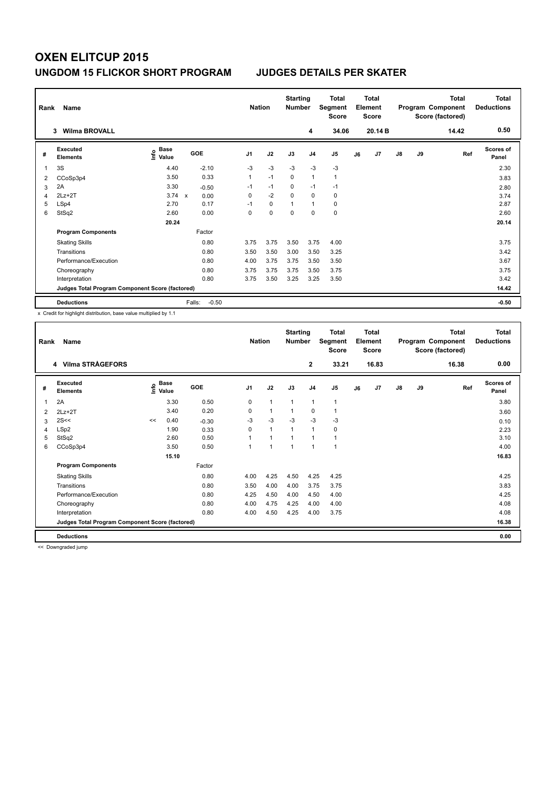| Rank | Name<br><b>Wilma BROVALL</b><br>3               |                              |                   | <b>Nation</b>  |             | <b>Starting</b><br><b>Number</b> | 4              | <b>Total</b><br>Segment<br><b>Score</b><br>34.06 |    | <b>Total</b><br>Element<br><b>Score</b><br>20.14 B |               |    | <b>Total</b><br>Program Component<br>Score (factored)<br>14.42 | Total<br><b>Deductions</b><br>0.50 |
|------|-------------------------------------------------|------------------------------|-------------------|----------------|-------------|----------------------------------|----------------|--------------------------------------------------|----|----------------------------------------------------|---------------|----|----------------------------------------------------------------|------------------------------------|
| #    | Executed<br><b>Elements</b>                     | <b>Base</b><br>١nfo<br>Value | GOE               | J <sub>1</sub> | J2          | J3                               | J <sub>4</sub> | J <sub>5</sub>                                   | J6 | J <sub>7</sub>                                     | $\mathsf{J}8$ | J9 | Ref                                                            | Scores of<br>Panel                 |
| 1    | 3S                                              | 4.40                         | $-2.10$           | -3             | $-3$        | $-3$                             | $-3$           | $-3$                                             |    |                                                    |               |    |                                                                | 2.30                               |
| 2    | CCoSp3p4                                        | 3.50                         | 0.33              | $\mathbf{1}$   | $-1$        | $\mathbf 0$                      | $\mathbf{1}$   | $\mathbf{1}$                                     |    |                                                    |               |    |                                                                | 3.83                               |
| 3    | 2A                                              | 3.30                         | $-0.50$           | $-1$           | $-1$        | 0                                | $-1$           | $-1$                                             |    |                                                    |               |    |                                                                | 2.80                               |
| 4    | $2Lz+2T$                                        | $3.74 \times$                | 0.00              | 0              | $-2$        | $\Omega$                         | $\mathbf 0$    | $\mathbf 0$                                      |    |                                                    |               |    |                                                                | 3.74                               |
| 5    | LSp4                                            | 2.70                         | 0.17              | $-1$           | $\mathbf 0$ | $\overline{1}$                   | $\mathbf{1}$   | $\mathbf 0$                                      |    |                                                    |               |    |                                                                | 2.87                               |
| 6    | StSq2                                           | 2.60                         | 0.00              | 0              | $\mathbf 0$ | 0                                | $\mathbf 0$    | $\mathbf 0$                                      |    |                                                    |               |    |                                                                | 2.60                               |
|      |                                                 | 20.24                        |                   |                |             |                                  |                |                                                  |    |                                                    |               |    |                                                                | 20.14                              |
|      | <b>Program Components</b>                       |                              | Factor            |                |             |                                  |                |                                                  |    |                                                    |               |    |                                                                |                                    |
|      | <b>Skating Skills</b>                           |                              | 0.80              | 3.75           | 3.75        | 3.50                             | 3.75           | 4.00                                             |    |                                                    |               |    |                                                                | 3.75                               |
|      | Transitions                                     |                              | 0.80              | 3.50           | 3.50        | 3.00                             | 3.50           | 3.25                                             |    |                                                    |               |    |                                                                | 3.42                               |
|      | Performance/Execution                           |                              | 0.80              | 4.00           | 3.75        | 3.75                             | 3.50           | 3.50                                             |    |                                                    |               |    |                                                                | 3.67                               |
|      | Choreography                                    |                              | 0.80              | 3.75           | 3.75        | 3.75                             | 3.50           | 3.75                                             |    |                                                    |               |    |                                                                | 3.75                               |
|      | Interpretation                                  |                              | 0.80              | 3.75           | 3.50        | 3.25                             | 3.25           | 3.50                                             |    |                                                    |               |    |                                                                | 3.42                               |
|      | Judges Total Program Component Score (factored) |                              |                   |                |             |                                  |                |                                                  |    |                                                    |               |    |                                                                | 14.42                              |
|      | <b>Deductions</b>                               |                              | $-0.50$<br>Falls: |                |             |                                  |                |                                                  |    |                                                    |               |    |                                                                | $-0.50$                            |

x Credit for highlight distribution, base value multiplied by 1.1

| Rank | Name                                            | <b>Nation</b> |                      | <b>Starting</b><br><b>Number</b> |                | <b>Total</b><br>Segment<br>Score |              | Total<br>Element<br><b>Score</b> |                |    | <b>Total</b><br>Program Component<br>Score (factored) | Total<br><b>Deductions</b> |    |       |                           |
|------|-------------------------------------------------|---------------|----------------------|----------------------------------|----------------|----------------------------------|--------------|----------------------------------|----------------|----|-------------------------------------------------------|----------------------------|----|-------|---------------------------|
|      | 4 Vilma STRÅGEFORS                              |               |                      |                                  |                |                                  |              | $\mathbf{2}$                     | 33.21          |    | 16.83                                                 |                            |    | 16.38 | 0.00                      |
| #    | Executed<br><b>Elements</b>                     | lnfo          | <b>Base</b><br>Value | GOE                              | J <sub>1</sub> | J2                               | J3           | J <sub>4</sub>                   | J <sub>5</sub> | J6 | J7                                                    | $\mathsf{J}8$              | J9 | Ref   | <b>Scores of</b><br>Panel |
| 1    | 2A                                              |               | 3.30                 | 0.50                             | 0              | 1                                | $\mathbf{1}$ | 1                                | $\mathbf{1}$   |    |                                                       |                            |    |       | 3.80                      |
| 2    | $2Lz+2T$                                        |               | 3.40                 | 0.20                             | 0              | $\mathbf{1}$                     | 1            | 0                                | 1              |    |                                                       |                            |    |       | 3.60                      |
| 3    | 2S<<                                            | <<            | 0.40                 | $-0.30$                          | $-3$           | $-3$                             | $-3$         | $-3$                             | $-3$           |    |                                                       |                            |    |       | 0.10                      |
| 4    | LSp2                                            |               | 1.90                 | 0.33                             | 0              | 1                                | 1            | 1                                | 0              |    |                                                       |                            |    |       | 2.23                      |
| 5    | StSq2                                           |               | 2.60                 | 0.50                             | 1              | 1                                | 1            | 1                                | 1              |    |                                                       |                            |    |       | 3.10                      |
| 6    | CCoSp3p4                                        |               | 3.50                 | 0.50                             | $\overline{1}$ | 1                                | 1            | 1                                | $\mathbf{1}$   |    |                                                       |                            |    |       | 4.00                      |
|      |                                                 |               | 15.10                |                                  |                |                                  |              |                                  |                |    |                                                       |                            |    |       | 16.83                     |
|      | <b>Program Components</b>                       |               |                      | Factor                           |                |                                  |              |                                  |                |    |                                                       |                            |    |       |                           |
|      | <b>Skating Skills</b>                           |               |                      | 0.80                             | 4.00           | 4.25                             | 4.50         | 4.25                             | 4.25           |    |                                                       |                            |    |       | 4.25                      |
|      | Transitions                                     |               |                      | 0.80                             | 3.50           | 4.00                             | 4.00         | 3.75                             | 3.75           |    |                                                       |                            |    |       | 3.83                      |
|      | Performance/Execution                           |               |                      | 0.80                             | 4.25           | 4.50                             | 4.00         | 4.50                             | 4.00           |    |                                                       |                            |    |       | 4.25                      |
|      | Choreography                                    |               |                      | 0.80                             | 4.00           | 4.75                             | 4.25         | 4.00                             | 4.00           |    |                                                       |                            |    |       | 4.08                      |
|      | Interpretation                                  |               |                      | 0.80                             | 4.00           | 4.50                             | 4.25         | 4.00                             | 3.75           |    |                                                       |                            |    |       | 4.08                      |
|      | Judges Total Program Component Score (factored) |               |                      |                                  |                |                                  |              |                                  |                |    |                                                       |                            |    |       | 16.38                     |
|      | <b>Deductions</b>                               |               |                      |                                  |                |                                  |              |                                  |                |    |                                                       |                            |    |       | 0.00                      |

<< Downgraded jump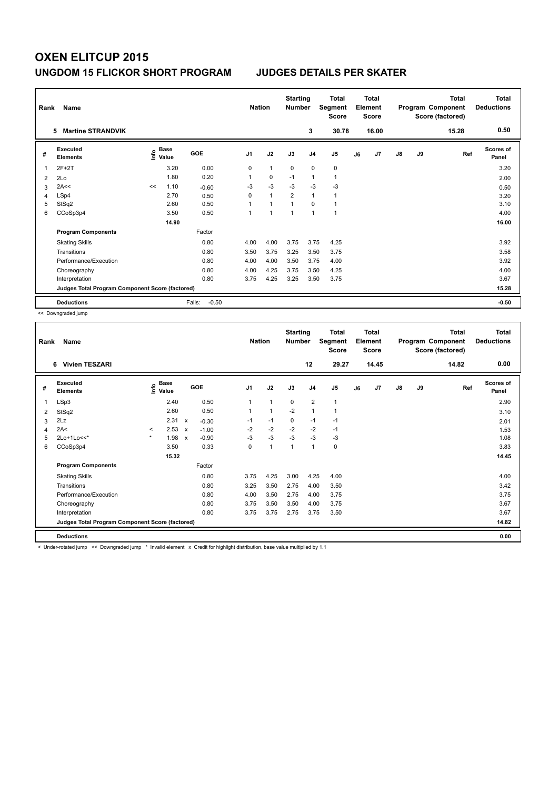| Rank | Name<br><b>Martine STRANDVIK</b><br>5           |      |               |                   | <b>Nation</b>  |                | <b>Starting</b><br><b>Number</b> | 3              | <b>Total</b><br>Segment<br><b>Score</b><br>30.78 |    | <b>Total</b><br>Element<br><b>Score</b><br>16.00 |               |    | <b>Total</b><br>Program Component<br>Score (factored)<br>15.28 | Total<br><b>Deductions</b><br>0.50 |
|------|-------------------------------------------------|------|---------------|-------------------|----------------|----------------|----------------------------------|----------------|--------------------------------------------------|----|--------------------------------------------------|---------------|----|----------------------------------------------------------------|------------------------------------|
| #    | Executed<br><b>Elements</b>                     | ١nfo | Base<br>Value | GOE               | J <sub>1</sub> | J2             | J3                               | J <sub>4</sub> | J <sub>5</sub>                                   | J6 | J <sub>7</sub>                                   | $\mathsf{J}8$ | J9 | Ref                                                            | Scores of<br>Panel                 |
| 1    | $2F+2T$                                         |      | 3.20          | 0.00              | 0              | $\mathbf{1}$   | $\mathbf 0$                      | $\mathbf 0$    | $\mathbf 0$                                      |    |                                                  |               |    |                                                                | 3.20                               |
| 2    | 2Lo                                             |      | 1.80          | 0.20              | 1              | $\mathbf 0$    | $-1$                             | $\mathbf{1}$   | $\mathbf{1}$                                     |    |                                                  |               |    |                                                                | 2.00                               |
| 3    | 2A<<                                            | <<   | 1.10          | $-0.60$           | -3             | $-3$           | $-3$                             | $-3$           | $-3$                                             |    |                                                  |               |    |                                                                | 0.50                               |
| 4    | LSp4                                            |      | 2.70          | 0.50              | $\Omega$       | $\overline{1}$ | $\overline{2}$                   | $\overline{1}$ | $\mathbf{1}$                                     |    |                                                  |               |    |                                                                | 3.20                               |
| 5    | StSq2                                           |      | 2.60          | 0.50              |                | $\overline{1}$ | $\overline{1}$                   | $\Omega$       | $\mathbf{1}$                                     |    |                                                  |               |    |                                                                | 3.10                               |
| 6    | CCoSp3p4                                        |      | 3.50          | 0.50              | 1              | $\overline{1}$ | 1                                | $\overline{1}$ | $\mathbf{1}$                                     |    |                                                  |               |    |                                                                | 4.00                               |
|      |                                                 |      | 14.90         |                   |                |                |                                  |                |                                                  |    |                                                  |               |    |                                                                | 16.00                              |
|      | <b>Program Components</b>                       |      |               | Factor            |                |                |                                  |                |                                                  |    |                                                  |               |    |                                                                |                                    |
|      | <b>Skating Skills</b>                           |      |               | 0.80              | 4.00           | 4.00           | 3.75                             | 3.75           | 4.25                                             |    |                                                  |               |    |                                                                | 3.92                               |
|      | Transitions                                     |      |               | 0.80              | 3.50           | 3.75           | 3.25                             | 3.50           | 3.75                                             |    |                                                  |               |    |                                                                | 3.58                               |
|      | Performance/Execution                           |      |               | 0.80              | 4.00           | 4.00           | 3.50                             | 3.75           | 4.00                                             |    |                                                  |               |    |                                                                | 3.92                               |
|      | Choreography                                    |      |               | 0.80              | 4.00           | 4.25           | 3.75                             | 3.50           | 4.25                                             |    |                                                  |               |    |                                                                | 4.00                               |
|      | Interpretation                                  |      |               | 0.80              | 3.75           | 4.25           | 3.25                             | 3.50           | 3.75                                             |    |                                                  |               |    |                                                                | 3.67                               |
|      | Judges Total Program Component Score (factored) |      |               |                   |                |                |                                  |                |                                                  |    |                                                  |               |    |                                                                | 15.28                              |
|      | <b>Deductions</b>                               |      |               | $-0.50$<br>Falls: |                |                |                                  |                |                                                  |    |                                                  |               |    |                                                                | $-0.50$                            |

<< Downgraded jump

| Rank | Name<br><b>Vivien TESZARI</b><br>6              |         |                                    |                           |         |                | <b>Nation</b> | <b>Starting</b><br><b>Number</b> |                | <b>Total</b><br>Segment<br><b>Score</b> |    | <b>Total</b><br>Element<br><b>Score</b> |               |    | <b>Total</b><br>Program Component<br>Score (factored) | <b>Total</b><br><b>Deductions</b> |
|------|-------------------------------------------------|---------|------------------------------------|---------------------------|---------|----------------|---------------|----------------------------------|----------------|-----------------------------------------|----|-----------------------------------------|---------------|----|-------------------------------------------------------|-----------------------------------|
|      |                                                 |         |                                    |                           |         |                |               |                                  | 12             | 29.27                                   |    | 14.45                                   |               |    | 14.82                                                 | 0.00                              |
| #    | Executed<br><b>Elements</b>                     |         | <b>Base</b><br>$\frac{6}{5}$ Value |                           | GOE     | J <sub>1</sub> | J2            | J3                               | J <sub>4</sub> | J5                                      | J6 | J7                                      | $\mathsf{J}8$ | J9 | Ref                                                   | Scores of<br>Panel                |
| 1    | LSp3                                            |         | 2.40                               |                           | 0.50    | 1              | $\mathbf{1}$  | 0                                | $\overline{2}$ | $\mathbf{1}$                            |    |                                         |               |    |                                                       | 2.90                              |
| 2    | StSq2                                           |         | 2.60                               |                           | 0.50    |                | $\mathbf{1}$  | $-2$                             | $\mathbf{1}$   | 1                                       |    |                                         |               |    |                                                       | 3.10                              |
| 3    | 2Lz                                             |         | 2.31                               | $\mathsf{x}$              | $-0.30$ | $-1$           | $-1$          | $\mathbf 0$                      | $-1$           | $-1$                                    |    |                                         |               |    |                                                       | 2.01                              |
| 4    | 2A<                                             | $\prec$ | 2.53                               | $\mathsf{x}$              | $-1.00$ | $-2$           | $-2$          | $-2$                             | $-2$           | $-1$                                    |    |                                         |               |    |                                                       | 1.53                              |
| 5    | 2Lo+1Lo<<*                                      | $\star$ | 1.98                               | $\boldsymbol{\mathsf{x}}$ | $-0.90$ | $-3$           | $-3$          | $-3$                             | $-3$           | $-3$                                    |    |                                         |               |    |                                                       | 1.08                              |
| 6    | CCoSp3p4                                        |         | 3.50                               |                           | 0.33    | 0              | $\mathbf{1}$  | $\overline{1}$                   | $\mathbf{1}$   | 0                                       |    |                                         |               |    |                                                       | 3.83                              |
|      |                                                 |         | 15.32                              |                           |         |                |               |                                  |                |                                         |    |                                         |               |    |                                                       | 14.45                             |
|      | <b>Program Components</b>                       |         |                                    |                           | Factor  |                |               |                                  |                |                                         |    |                                         |               |    |                                                       |                                   |
|      | <b>Skating Skills</b>                           |         |                                    |                           | 0.80    | 3.75           | 4.25          | 3.00                             | 4.25           | 4.00                                    |    |                                         |               |    |                                                       | 4.00                              |
|      | Transitions                                     |         |                                    |                           | 0.80    | 3.25           | 3.50          | 2.75                             | 4.00           | 3.50                                    |    |                                         |               |    |                                                       | 3.42                              |
|      | Performance/Execution                           |         |                                    |                           | 0.80    | 4.00           | 3.50          | 2.75                             | 4.00           | 3.75                                    |    |                                         |               |    |                                                       | 3.75                              |
|      | Choreography                                    |         |                                    |                           | 0.80    | 3.75           | 3.50          | 3.50                             | 4.00           | 3.75                                    |    |                                         |               |    |                                                       | 3.67                              |
|      | Interpretation                                  |         |                                    |                           | 0.80    | 3.75           | 3.75          | 2.75                             | 3.75           | 3.50                                    |    |                                         |               |    |                                                       | 3.67                              |
|      | Judges Total Program Component Score (factored) |         |                                    |                           |         |                |               |                                  |                |                                         |    |                                         |               |    |                                                       | 14.82                             |
|      | <b>Deductions</b>                               |         |                                    |                           |         |                |               |                                  |                |                                         |    |                                         |               |    |                                                       | 0.00                              |

< Under-rotated jump << Downgraded jump \* Invalid element x Credit for highlight distribution, base value multiplied by 1.1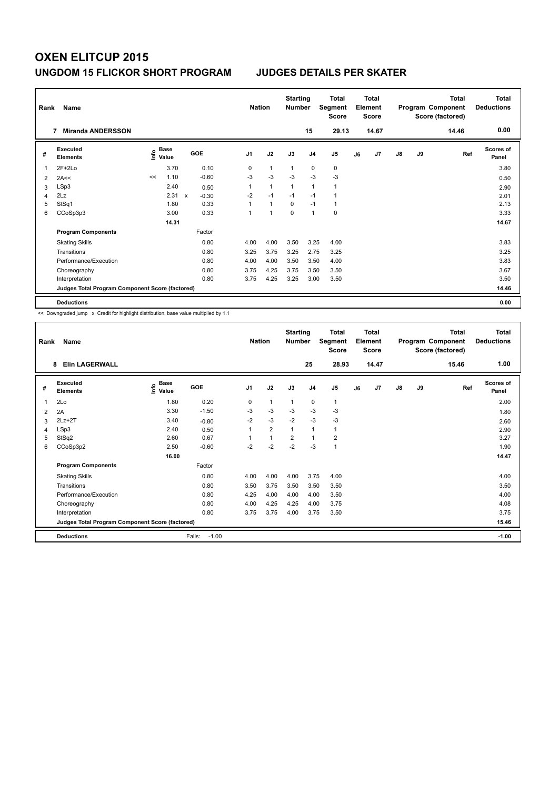| Rank | Name                                            | <b>Nation</b>                |                           | <b>Starting</b><br><b>Number</b> |                | Total<br>Segment<br><b>Score</b> |                | <b>Total</b><br>Element<br><b>Score</b> |                |    | <b>Total</b><br>Program Component<br>Score (factored) | <b>Total</b><br><b>Deductions</b> |    |       |                           |
|------|-------------------------------------------------|------------------------------|---------------------------|----------------------------------|----------------|----------------------------------|----------------|-----------------------------------------|----------------|----|-------------------------------------------------------|-----------------------------------|----|-------|---------------------------|
|      | <b>Miranda ANDERSSON</b>                        |                              |                           |                                  |                |                                  |                | 15                                      | 29.13          |    | 14.67                                                 |                                   |    | 14.46 | 0.00                      |
| #    | Executed<br><b>Elements</b>                     | <b>Base</b><br>١nf٥<br>Value |                           | <b>GOE</b>                       | J <sub>1</sub> | J2                               | J3             | J <sub>4</sub>                          | J <sub>5</sub> | J6 | J7                                                    | $\mathsf{J}8$                     | J9 | Ref   | <b>Scores of</b><br>Panel |
| 1    | $2F+2Lo$                                        | 3.70                         |                           | 0.10                             | 0              | $\overline{1}$                   | $\overline{1}$ | $\mathbf 0$                             | 0              |    |                                                       |                                   |    |       | 3.80                      |
| 2    | 2A<<                                            | 1.10<br><<                   |                           | $-0.60$                          | $-3$           | $-3$                             | $-3$           | $-3$                                    | $-3$           |    |                                                       |                                   |    |       | 0.50                      |
| 3    | LSp3                                            | 2.40                         |                           | 0.50                             | $\mathbf{1}$   | $\mathbf{1}$                     | $\mathbf{1}$   | $\mathbf{1}$                            | $\mathbf{1}$   |    |                                                       |                                   |    |       | 2.90                      |
| 4    | 2Lz                                             | 2.31                         | $\boldsymbol{\mathsf{x}}$ | $-0.30$                          | $-2$           | $-1$                             | $-1$           | $-1$                                    | $\mathbf{1}$   |    |                                                       |                                   |    |       | 2.01                      |
| 5    | StSq1                                           | 1.80                         |                           | 0.33                             |                | $\mathbf{1}$                     | $\mathbf 0$    | $-1$                                    | $\mathbf{1}$   |    |                                                       |                                   |    |       | 2.13                      |
| 6    | CCoSp3p3                                        | 3.00                         |                           | 0.33                             | 1              | $\overline{1}$                   | $\Omega$       | $\mathbf{1}$                            | 0              |    |                                                       |                                   |    |       | 3.33                      |
|      |                                                 | 14.31                        |                           |                                  |                |                                  |                |                                         |                |    |                                                       |                                   |    |       | 14.67                     |
|      | <b>Program Components</b>                       |                              |                           | Factor                           |                |                                  |                |                                         |                |    |                                                       |                                   |    |       |                           |
|      | <b>Skating Skills</b>                           |                              |                           | 0.80                             | 4.00           | 4.00                             | 3.50           | 3.25                                    | 4.00           |    |                                                       |                                   |    |       | 3.83                      |
|      | Transitions                                     |                              |                           | 0.80                             | 3.25           | 3.75                             | 3.25           | 2.75                                    | 3.25           |    |                                                       |                                   |    |       | 3.25                      |
|      | Performance/Execution                           |                              |                           | 0.80                             | 4.00           | 4.00                             | 3.50           | 3.50                                    | 4.00           |    |                                                       |                                   |    |       | 3.83                      |
|      | Choreography                                    |                              |                           | 0.80                             | 3.75           | 4.25                             | 3.75           | 3.50                                    | 3.50           |    |                                                       |                                   |    |       | 3.67                      |
|      | Interpretation                                  |                              |                           | 0.80                             | 3.75           | 4.25                             | 3.25           | 3.00                                    | 3.50           |    |                                                       |                                   |    |       | 3.50                      |
|      | Judges Total Program Component Score (factored) |                              |                           |                                  |                |                                  |                |                                         |                |    |                                                       |                                   |    |       | 14.46                     |
|      | <b>Deductions</b>                               |                              |                           |                                  |                |                                  |                |                                         |                |    |                                                       |                                   |    |       | 0.00                      |

| Rank | Name                                            |                                  | <b>Nation</b>     |                | <b>Starting</b><br><b>Number</b> |                | Total<br>Segment<br><b>Score</b> |                | <b>Total</b><br>Element<br><b>Score</b> |       |               | <b>Total</b><br>Program Component<br>Score (factored) | <b>Total</b><br><b>Deductions</b> |                           |
|------|-------------------------------------------------|----------------------------------|-------------------|----------------|----------------------------------|----------------|----------------------------------|----------------|-----------------------------------------|-------|---------------|-------------------------------------------------------|-----------------------------------|---------------------------|
|      | <b>Elin LAGERWALL</b><br>8                      |                                  |                   |                |                                  |                | 25                               | 28.93          |                                         | 14.47 |               |                                                       | 15.46                             | 1.00                      |
| #    | <b>Executed</b><br><b>Elements</b>              | <b>Base</b><br>e Base<br>⊆ Value | <b>GOE</b>        | J <sub>1</sub> | J2                               | J3             | J <sub>4</sub>                   | J <sub>5</sub> | J6                                      | J7    | $\mathsf{J}8$ | J9                                                    | Ref                               | <b>Scores of</b><br>Panel |
| 1    | 2Lo                                             | 1.80                             | 0.20              | 0              | 1                                | $\mathbf{1}$   | 0                                | 1              |                                         |       |               |                                                       |                                   | 2.00                      |
| 2    | 2A                                              | 3.30                             | $-1.50$           | $-3$           | $-3$                             | $-3$           | $-3$                             | $-3$           |                                         |       |               |                                                       |                                   | 1.80                      |
| 3    | $2Lz+2T$                                        | 3.40                             | $-0.80$           | $-2$           | $-3$                             | $-2$           | $-3$                             | $-3$           |                                         |       |               |                                                       |                                   | 2.60                      |
| 4    | LSp3                                            | 2.40                             | 0.50              | 1              | $\overline{2}$                   | $\mathbf{1}$   | 1                                | 1              |                                         |       |               |                                                       |                                   | 2.90                      |
| 5    | StSq2                                           | 2.60                             | 0.67              |                | 1                                | $\overline{2}$ | $\mathbf{1}$                     | $\overline{2}$ |                                         |       |               |                                                       |                                   | 3.27                      |
| 6    | CCoSp3p2                                        | 2.50                             | $-0.60$           | $-2$           | $-2$                             | $-2$           | $-3$                             | 1              |                                         |       |               |                                                       |                                   | 1.90                      |
|      |                                                 | 16.00                            |                   |                |                                  |                |                                  |                |                                         |       |               |                                                       |                                   | 14.47                     |
|      | <b>Program Components</b>                       |                                  | Factor            |                |                                  |                |                                  |                |                                         |       |               |                                                       |                                   |                           |
|      | <b>Skating Skills</b>                           |                                  | 0.80              | 4.00           | 4.00                             | 4.00           | 3.75                             | 4.00           |                                         |       |               |                                                       |                                   | 4.00                      |
|      | Transitions                                     |                                  | 0.80              | 3.50           | 3.75                             | 3.50           | 3.50                             | 3.50           |                                         |       |               |                                                       |                                   | 3.50                      |
|      | Performance/Execution                           |                                  | 0.80              | 4.25           | 4.00                             | 4.00           | 4.00                             | 3.50           |                                         |       |               |                                                       |                                   | 4.00                      |
|      | Choreography                                    |                                  | 0.80              | 4.00           | 4.25                             | 4.25           | 4.00                             | 3.75           |                                         |       |               |                                                       |                                   | 4.08                      |
|      | Interpretation                                  |                                  | 0.80              | 3.75           | 3.75                             | 4.00           | 3.75                             | 3.50           |                                         |       |               |                                                       |                                   | 3.75                      |
|      | Judges Total Program Component Score (factored) |                                  |                   |                |                                  |                |                                  |                |                                         |       |               |                                                       |                                   | 15.46                     |
|      | <b>Deductions</b>                               |                                  | $-1.00$<br>Falls: |                |                                  |                |                                  |                |                                         |       |               |                                                       |                                   | $-1.00$                   |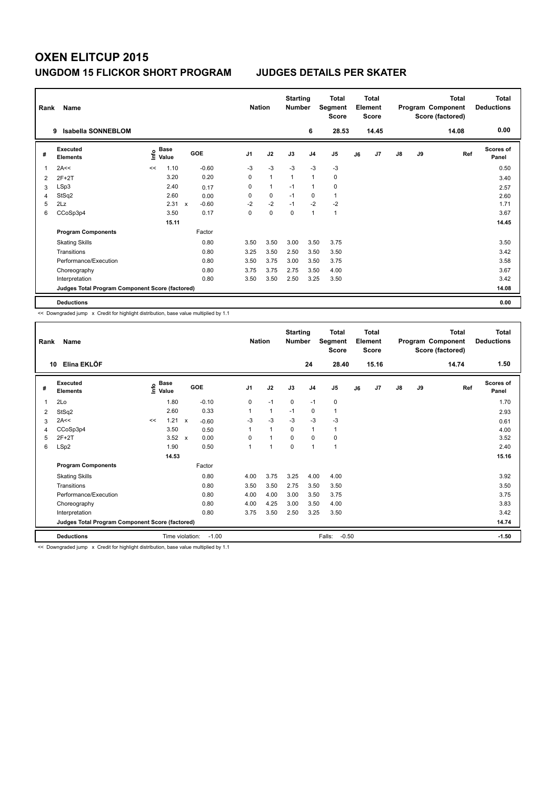| Rank | Name<br><b>Isabella SONNEBLOM</b><br>9          |      |               |              |         |                | <b>Nation</b>  | <b>Starting</b><br><b>Number</b> |                | Total<br>Segment<br><b>Score</b> |    | <b>Total</b><br>Element<br><b>Score</b> |               |    | <b>Total</b><br>Program Component<br>Score (factored) | Total<br><b>Deductions</b> |
|------|-------------------------------------------------|------|---------------|--------------|---------|----------------|----------------|----------------------------------|----------------|----------------------------------|----|-----------------------------------------|---------------|----|-------------------------------------------------------|----------------------------|
|      |                                                 |      |               |              |         |                |                |                                  | 6              | 28.53                            |    | 14.45                                   |               |    | 14.08                                                 | 0.00                       |
| #    | Executed<br><b>Elements</b>                     | ١nf٥ | Base<br>Value |              | GOE     | J <sub>1</sub> | J2             | J3                               | J <sub>4</sub> | J <sub>5</sub>                   | J6 | J7                                      | $\mathsf{J}8$ | J9 | Ref                                                   | Scores of<br>Panel         |
| 1    | 2A<<                                            | <<   | 1.10          |              | $-0.60$ | $-3$           | $-3$           | $-3$                             | $-3$           | $-3$                             |    |                                         |               |    |                                                       | 0.50                       |
| 2    | $2F+2T$                                         |      | 3.20          |              | 0.20    | 0              | $\overline{1}$ | $\overline{1}$                   | $\mathbf{1}$   | 0                                |    |                                         |               |    |                                                       | 3.40                       |
| 3    | LSp3                                            |      | 2.40          |              | 0.17    | 0              | $\mathbf{1}$   | $-1$                             | $\mathbf{1}$   | 0                                |    |                                         |               |    |                                                       | 2.57                       |
| 4    | StSq2                                           |      | 2.60          |              | 0.00    | 0              | 0              | $-1$                             | 0              | $\mathbf{1}$                     |    |                                         |               |    |                                                       | 2.60                       |
| 5    | 2Lz                                             |      | 2.31          | $\mathsf{x}$ | $-0.60$ | $-2$           | $-2$           | $-1$                             | $-2$           | $-2$                             |    |                                         |               |    |                                                       | 1.71                       |
| 6    | CCoSp3p4                                        |      | 3.50          |              | 0.17    | 0              | $\mathbf 0$    | $\Omega$                         | $\overline{1}$ | $\mathbf{1}$                     |    |                                         |               |    |                                                       | 3.67                       |
|      |                                                 |      | 15.11         |              |         |                |                |                                  |                |                                  |    |                                         |               |    |                                                       | 14.45                      |
|      | <b>Program Components</b>                       |      |               |              | Factor  |                |                |                                  |                |                                  |    |                                         |               |    |                                                       |                            |
|      | <b>Skating Skills</b>                           |      |               |              | 0.80    | 3.50           | 3.50           | 3.00                             | 3.50           | 3.75                             |    |                                         |               |    |                                                       | 3.50                       |
|      | Transitions                                     |      |               |              | 0.80    | 3.25           | 3.50           | 2.50                             | 3.50           | 3.50                             |    |                                         |               |    |                                                       | 3.42                       |
|      | Performance/Execution                           |      |               |              | 0.80    | 3.50           | 3.75           | 3.00                             | 3.50           | 3.75                             |    |                                         |               |    |                                                       | 3.58                       |
|      | Choreography                                    |      |               |              | 0.80    | 3.75           | 3.75           | 2.75                             | 3.50           | 4.00                             |    |                                         |               |    |                                                       | 3.67                       |
|      | Interpretation                                  |      |               |              | 0.80    | 3.50           | 3.50           | 2.50                             | 3.25           | 3.50                             |    |                                         |               |    |                                                       | 3.42                       |
|      | Judges Total Program Component Score (factored) |      |               |              |         |                |                |                                  |                |                                  |    |                                         |               |    |                                                       | 14.08                      |
|      | <b>Deductions</b>                               |      |               |              |         |                |                |                                  |                |                                  |    |                                         |               |    |                                                       | 0.00                       |

<< Downgraded jump x Credit for highlight distribution, base value multiplied by 1.1

| Rank | Name                                            |    |                                  | <b>Nation</b>           |                | <b>Starting</b><br><b>Number</b> |             | <b>Total</b><br>Segment<br><b>Score</b> |                   | <b>Total</b><br>Element<br><b>Score</b> |       |               | <b>Total</b><br>Program Component<br>Score (factored) | <b>Total</b><br><b>Deductions</b> |                           |
|------|-------------------------------------------------|----|----------------------------------|-------------------------|----------------|----------------------------------|-------------|-----------------------------------------|-------------------|-----------------------------------------|-------|---------------|-------------------------------------------------------|-----------------------------------|---------------------------|
| 10   | Elina EKLÖF                                     |    |                                  |                         |                |                                  |             | 24                                      | 28.40             |                                         | 15.16 |               |                                                       | 14.74                             | 1.50                      |
| #    | Executed<br><b>Elements</b>                     |    | <b>Base</b><br>e Base<br>⊆ Value | GOE                     | J <sub>1</sub> | J2                               | J3          | J <sub>4</sub>                          | J <sub>5</sub>    | J6                                      | J7    | $\mathsf{J}8$ | J9                                                    | Ref                               | <b>Scores of</b><br>Panel |
| 1    | 2Lo                                             |    | 1.80                             | $-0.10$                 | 0              | $-1$                             | 0           | $-1$                                    | 0                 |                                         |       |               |                                                       |                                   | 1.70                      |
| 2    | StSq2                                           |    | 2.60                             | 0.33                    |                | $\mathbf{1}$                     | $-1$        | 0                                       | 1                 |                                         |       |               |                                                       |                                   | 2.93                      |
| 3    | 2A<<                                            | << | 1.21                             | $\mathsf{x}$<br>$-0.60$ | $-3$           | $-3$                             | $-3$        | $-3$                                    | $-3$              |                                         |       |               |                                                       |                                   | 0.61                      |
| 4    | CCoSp3p4                                        |    | 3.50                             | 0.50                    |                | $\mathbf{1}$                     | 0           | 1                                       | 1                 |                                         |       |               |                                                       |                                   | 4.00                      |
| 5    | $2F+2T$                                         |    | $3.52 \times$                    | 0.00                    | $\Omega$       | $\overline{1}$                   | $\Omega$    | $\Omega$                                | 0                 |                                         |       |               |                                                       |                                   | 3.52                      |
| 6    | LSp2                                            |    | 1.90                             | 0.50                    |                | -1                               | $\mathbf 0$ | 1                                       | 1                 |                                         |       |               |                                                       |                                   | 2.40                      |
|      |                                                 |    | 14.53                            |                         |                |                                  |             |                                         |                   |                                         |       |               |                                                       |                                   | 15.16                     |
|      | <b>Program Components</b>                       |    |                                  | Factor                  |                |                                  |             |                                         |                   |                                         |       |               |                                                       |                                   |                           |
|      | <b>Skating Skills</b>                           |    |                                  | 0.80                    | 4.00           | 3.75                             | 3.25        | 4.00                                    | 4.00              |                                         |       |               |                                                       |                                   | 3.92                      |
|      | Transitions                                     |    |                                  | 0.80                    | 3.50           | 3.50                             | 2.75        | 3.50                                    | 3.50              |                                         |       |               |                                                       |                                   | 3.50                      |
|      | Performance/Execution                           |    |                                  | 0.80                    | 4.00           | 4.00                             | 3.00        | 3.50                                    | 3.75              |                                         |       |               |                                                       |                                   | 3.75                      |
|      | Choreography                                    |    |                                  | 0.80                    | 4.00           | 4.25                             | 3.00        | 3.50                                    | 4.00              |                                         |       |               |                                                       |                                   | 3.83                      |
|      | Interpretation                                  |    |                                  | 0.80                    | 3.75           | 3.50                             | 2.50        | 3.25                                    | 3.50              |                                         |       |               |                                                       |                                   | 3.42                      |
|      | Judges Total Program Component Score (factored) |    |                                  |                         |                |                                  |             |                                         |                   |                                         |       |               |                                                       |                                   | 14.74                     |
|      | <b>Deductions</b>                               |    | Time violation:                  | $-1.00$                 |                |                                  |             |                                         | $-0.50$<br>Falls: |                                         |       |               |                                                       |                                   | $-1.50$                   |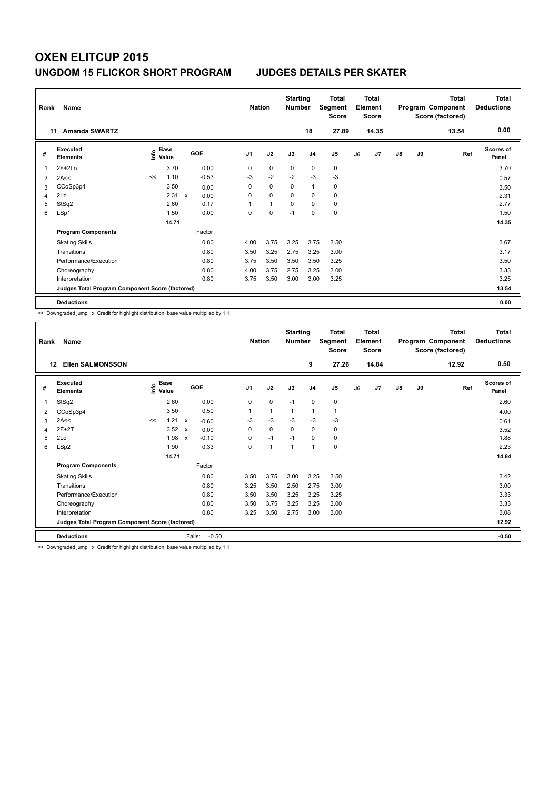| Rank           | Name                                            | <b>Nation</b>                    |             | <b>Starting</b><br><b>Number</b> |                | Total<br>Segment<br><b>Score</b> |             | <b>Total</b><br>Element<br><b>Score</b> |           |    | <b>Total</b><br>Program Component<br>Score (factored) | <b>Total</b><br><b>Deductions</b> |    |       |                           |
|----------------|-------------------------------------------------|----------------------------------|-------------|----------------------------------|----------------|----------------------------------|-------------|-----------------------------------------|-----------|----|-------------------------------------------------------|-----------------------------------|----|-------|---------------------------|
|                | <b>Amanda SWARTZ</b><br>11                      |                                  |             |                                  |                |                                  |             | 18                                      | 27.89     |    | 14.35                                                 |                                   |    | 13.54 | 0.00                      |
| #              | <b>Executed</b><br><b>Elements</b>              | <b>Base</b><br>e Base<br>⊆ Value |             | <b>GOE</b>                       | J <sub>1</sub> | J2                               | J3          | J <sub>4</sub>                          | J5        | J6 | J7                                                    | $\mathsf{J}8$                     | J9 | Ref   | <b>Scores of</b><br>Panel |
| 1              | $2F+2Lo$                                        | 3.70                             |             | 0.00                             | 0              | $\mathbf 0$                      | 0           | 0                                       | $\pmb{0}$ |    |                                                       |                                   |    |       | 3.70                      |
| $\overline{2}$ | 2A<<                                            | 1.10<br><<                       |             | $-0.53$                          | $-3$           | $-2$                             | $-2$        | $-3$                                    | $-3$      |    |                                                       |                                   |    |       | 0.57                      |
| 3              | CCoSp3p4                                        | 3.50                             |             | 0.00                             | 0              | 0                                | 0           | $\overline{1}$                          | 0         |    |                                                       |                                   |    |       | 3.50                      |
| 4              | 2Lz                                             | 2.31                             | $\mathbf x$ | 0.00                             | 0              | $\mathbf 0$                      | $\Omega$    | 0                                       | 0         |    |                                                       |                                   |    |       | 2.31                      |
| 5              | StSq2                                           | 2.60                             |             | 0.17                             | 1              | $\mathbf{1}$                     | $\mathbf 0$ | $\mathbf 0$                             | $\pmb{0}$ |    |                                                       |                                   |    |       | 2.77                      |
| 6              | LSp1                                            | 1.50                             |             | 0.00                             | 0              | $\mathbf 0$                      | $-1$        | 0                                       | $\pmb{0}$ |    |                                                       |                                   |    |       | 1.50                      |
|                |                                                 | 14.71                            |             |                                  |                |                                  |             |                                         |           |    |                                                       |                                   |    |       | 14.35                     |
|                | <b>Program Components</b>                       |                                  |             | Factor                           |                |                                  |             |                                         |           |    |                                                       |                                   |    |       |                           |
|                | <b>Skating Skills</b>                           |                                  |             | 0.80                             | 4.00           | 3.75                             | 3.25        | 3.75                                    | 3.50      |    |                                                       |                                   |    |       | 3.67                      |
|                | Transitions                                     |                                  |             | 0.80                             | 3.50           | 3.25                             | 2.75        | 3.25                                    | 3.00      |    |                                                       |                                   |    |       | 3.17                      |
|                | Performance/Execution                           |                                  |             | 0.80                             | 3.75           | 3.50                             | 3.50        | 3.50                                    | 3.25      |    |                                                       |                                   |    |       | 3.50                      |
|                | Choreography                                    |                                  |             | 0.80                             | 4.00           | 3.75                             | 2.75        | 3.25                                    | 3.00      |    |                                                       |                                   |    |       | 3.33                      |
|                | Interpretation                                  |                                  |             | 0.80                             | 3.75           | 3.50                             | 3.00        | 3.00                                    | 3.25      |    |                                                       |                                   |    |       | 3.25                      |
|                | Judges Total Program Component Score (factored) |                                  |             |                                  |                |                                  |             |                                         |           |    |                                                       |                                   |    |       | 13.54                     |
|                | <b>Deductions</b>                               |                                  |             |                                  |                |                                  |             |                                         |           |    |                                                       |                                   |    |       | 0.00                      |

<< Downgraded jump x Credit for highlight distribution, base value multiplied by 1.1

| Rank | Name                                            |    | <b>Nation</b>                    |                           | <b>Starting</b><br><b>Number</b> |                | <b>Total</b><br>Segment<br><b>Score</b> |                | Total<br>Element<br><b>Score</b> |                |    | Total<br>Program Component<br>Score (factored) | Total<br><b>Deductions</b> |    |       |                    |
|------|-------------------------------------------------|----|----------------------------------|---------------------------|----------------------------------|----------------|-----------------------------------------|----------------|----------------------------------|----------------|----|------------------------------------------------|----------------------------|----|-------|--------------------|
| 12   | <b>Ellen SALMONSSON</b>                         |    |                                  |                           |                                  |                |                                         |                | 9                                | 27.26          |    | 14.84                                          |                            |    | 12.92 | 0.50               |
| #    | Executed<br><b>Elements</b>                     |    | <b>Base</b><br>e Base<br>⊆ Value | GOE                       |                                  | J <sub>1</sub> | J2                                      | J3             | J <sub>4</sub>                   | J <sub>5</sub> | J6 | J <sub>7</sub>                                 | J8                         | J9 | Ref   | Scores of<br>Panel |
| 1    | StSq2                                           |    | 2.60                             |                           | 0.00                             | 0              | $\mathbf 0$                             | $-1$           | $\mathbf 0$                      | 0              |    |                                                |                            |    |       | 2.60               |
| 2    | CCoSp3p4                                        |    | 3.50                             |                           | 0.50                             |                | $\mathbf{1}$                            | 1              | 1                                | 1              |    |                                                |                            |    |       | 4.00               |
| 3    | 2A<<                                            | << | 1.21                             | $\mathsf{x}$              | $-0.60$                          | $-3$           | $-3$                                    | $-3$           | $-3$                             | $-3$           |    |                                                |                            |    |       | 0.61               |
| 4    | $2F+2T$                                         |    | 3.52                             | $\boldsymbol{\mathsf{x}}$ | 0.00                             | 0              | $\mathbf 0$                             | 0              | 0                                | 0              |    |                                                |                            |    |       | 3.52               |
| 5    | 2Lo                                             |    | 1.98                             | $\mathsf{x}$              | $-0.10$                          | 0              | $-1$                                    | $-1$           | 0                                | 0              |    |                                                |                            |    |       | 1.88               |
| 6    | LSp2                                            |    | 1.90                             |                           | 0.33                             | 0              | 1                                       | $\overline{1}$ | $\mathbf{1}$                     | 0              |    |                                                |                            |    |       | 2.23               |
|      |                                                 |    | 14.71                            |                           |                                  |                |                                         |                |                                  |                |    |                                                |                            |    |       | 14.84              |
|      | <b>Program Components</b>                       |    |                                  |                           | Factor                           |                |                                         |                |                                  |                |    |                                                |                            |    |       |                    |
|      | <b>Skating Skills</b>                           |    |                                  |                           | 0.80                             | 3.50           | 3.75                                    | 3.00           | 3.25                             | 3.50           |    |                                                |                            |    |       | 3.42               |
|      | Transitions                                     |    |                                  |                           | 0.80                             | 3.25           | 3.50                                    | 2.50           | 2.75                             | 3.00           |    |                                                |                            |    |       | 3.00               |
|      | Performance/Execution                           |    |                                  |                           | 0.80                             | 3.50           | 3.50                                    | 3.25           | 3.25                             | 3.25           |    |                                                |                            |    |       | 3.33               |
|      | Choreography                                    |    |                                  |                           | 0.80                             | 3.50           | 3.75                                    | 3.25           | 3.25                             | 3.00           |    |                                                |                            |    |       | 3.33               |
|      | Interpretation                                  |    |                                  |                           | 0.80                             | 3.25           | 3.50                                    | 2.75           | 3.00                             | 3.00           |    |                                                |                            |    |       | 3.08               |
|      | Judges Total Program Component Score (factored) |    |                                  |                           |                                  |                |                                         |                |                                  |                |    |                                                |                            |    |       | 12.92              |
|      | <b>Deductions</b>                               |    |                                  | Falls:                    | $-0.50$                          |                |                                         |                |                                  |                |    |                                                |                            |    |       | $-0.50$            |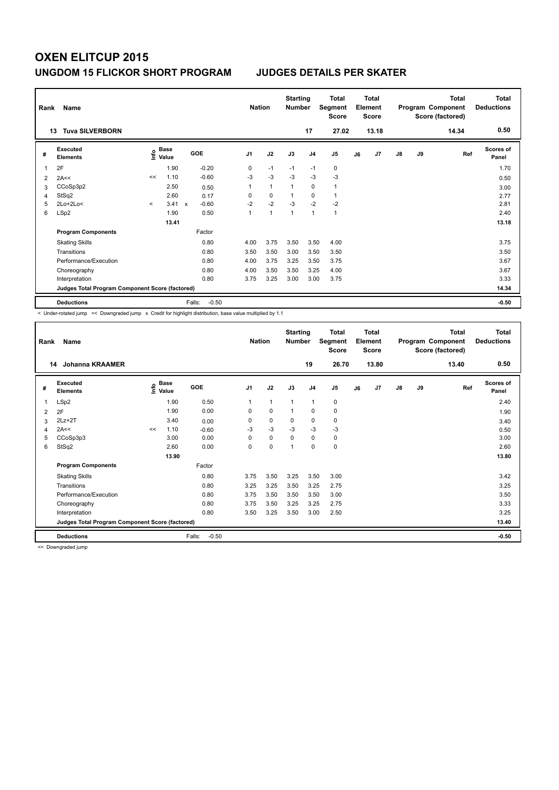| Rank           | Name<br><b>Tuva SILVERBORN</b><br>13            |         |                      |                         | <b>Nation</b>  |                | <b>Starting</b><br><b>Number</b> | 17             | <b>Total</b><br>Segment<br><b>Score</b><br>27.02 |    | <b>Total</b><br>Element<br><b>Score</b><br>13.18 |               |    | <b>Total</b><br>Program Component<br>Score (factored)<br>14.34 | <b>Total</b><br><b>Deductions</b><br>0.50 |
|----------------|-------------------------------------------------|---------|----------------------|-------------------------|----------------|----------------|----------------------------------|----------------|--------------------------------------------------|----|--------------------------------------------------|---------------|----|----------------------------------------------------------------|-------------------------------------------|
| #              | Executed<br><b>Elements</b>                     | lnfo    | <b>Base</b><br>Value | <b>GOE</b>              | J <sub>1</sub> | J2             | J3                               | J <sub>4</sub> | J <sub>5</sub>                                   | J6 | J7                                               | $\mathsf{J}8$ | J9 | Ref                                                            | <b>Scores of</b><br>Panel                 |
| $\overline{1}$ | 2F                                              |         | 1.90                 | $-0.20$                 | 0              | $-1$           | $-1$                             | $-1$           | $\mathbf 0$                                      |    |                                                  |               |    |                                                                | 1.70                                      |
| 2              | 2A<<                                            | <<      | 1.10                 | $-0.60$                 | $-3$           | $-3$           | $-3$                             | $-3$           | $-3$                                             |    |                                                  |               |    |                                                                | 0.50                                      |
| 3              | CCoSp3p2                                        |         | 2.50                 | 0.50                    |                | $\mathbf{1}$   |                                  | $\mathbf 0$    | $\mathbf{1}$                                     |    |                                                  |               |    |                                                                | 3.00                                      |
| 4              | StSq2                                           |         | 2.60                 | 0.17                    | 0              | $\mathbf 0$    |                                  | 0              | $\overline{1}$                                   |    |                                                  |               |    |                                                                | 2.77                                      |
| 5              | $2Lo+2Lo<$                                      | $\prec$ | 3.41                 | $-0.60$<br>$\mathbf{x}$ | $-2$           | $-2$           | $-3$                             | $-2$           | $-2$                                             |    |                                                  |               |    |                                                                | 2.81                                      |
| 6              | LSp2                                            |         | 1.90                 | 0.50                    | $\mathbf{1}$   | $\overline{1}$ | 1                                | $\mathbf{1}$   | $\mathbf{1}$                                     |    |                                                  |               |    |                                                                | 2.40                                      |
|                |                                                 |         | 13.41                |                         |                |                |                                  |                |                                                  |    |                                                  |               |    |                                                                | 13.18                                     |
|                | <b>Program Components</b>                       |         |                      | Factor                  |                |                |                                  |                |                                                  |    |                                                  |               |    |                                                                |                                           |
|                | <b>Skating Skills</b>                           |         |                      | 0.80                    | 4.00           | 3.75           | 3.50                             | 3.50           | 4.00                                             |    |                                                  |               |    |                                                                | 3.75                                      |
|                | Transitions                                     |         |                      | 0.80                    | 3.50           | 3.50           | 3.00                             | 3.50           | 3.50                                             |    |                                                  |               |    |                                                                | 3.50                                      |
|                | Performance/Execution                           |         |                      | 0.80                    | 4.00           | 3.75           | 3.25                             | 3.50           | 3.75                                             |    |                                                  |               |    |                                                                | 3.67                                      |
|                | Choreography                                    |         |                      | 0.80                    | 4.00           | 3.50           | 3.50                             | 3.25           | 4.00                                             |    |                                                  |               |    |                                                                | 3.67                                      |
|                | Interpretation                                  |         |                      | 0.80                    | 3.75           | 3.25           | 3.00                             | 3.00           | 3.75                                             |    |                                                  |               |    |                                                                | 3.33                                      |
|                | Judges Total Program Component Score (factored) |         |                      |                         |                |                |                                  |                |                                                  |    |                                                  |               |    |                                                                | 14.34                                     |
|                | <b>Deductions</b>                               |         |                      | Falls:<br>$-0.50$       |                |                |                                  |                |                                                  |    |                                                  |               |    |                                                                | $-0.50$                                   |

< Under-rotated jump << Downgraded jump x Credit for highlight distribution, base value multiplied by 1.1

| Rank | Name                                            |    |                                  |                   | <b>Nation</b>  |              | <b>Starting</b><br><b>Number</b> |                | <b>Total</b><br>Segment<br><b>Score</b> |    | <b>Total</b><br>Element<br><b>Score</b> |               |    | <b>Total</b><br>Program Component<br>Score (factored) | Total<br><b>Deductions</b> |
|------|-------------------------------------------------|----|----------------------------------|-------------------|----------------|--------------|----------------------------------|----------------|-----------------------------------------|----|-----------------------------------------|---------------|----|-------------------------------------------------------|----------------------------|
| 14   | <b>Johanna KRAAMER</b>                          |    |                                  |                   |                |              |                                  | 19             | 26.70                                   |    | 13.80                                   |               |    | 13.40                                                 | 0.50                       |
| #    | <b>Executed</b><br><b>Elements</b>              |    | <b>Base</b><br>e Base<br>⊆ Value | GOE               | J <sub>1</sub> | J2           | J3                               | J <sub>4</sub> | J <sub>5</sub>                          | J6 | J7                                      | $\mathsf{J}8$ | J9 | Ref                                                   | <b>Scores of</b><br>Panel  |
| 1    | LSp2                                            |    | 1.90                             | 0.50              | 1              | $\mathbf{1}$ | $\mathbf{1}$                     | 1              | 0                                       |    |                                         |               |    |                                                       | 2.40                       |
| 2    | 2F                                              |    | 1.90                             | 0.00              | 0              | 0            | $\mathbf 1$                      | 0              | 0                                       |    |                                         |               |    |                                                       | 1.90                       |
| 3    | $2Lz+2T$                                        |    | 3.40                             | 0.00              | 0              | 0            | $\mathbf 0$                      | $\mathbf 0$    | 0                                       |    |                                         |               |    |                                                       | 3.40                       |
| 4    | 2A<<                                            | << | 1.10                             | $-0.60$           | $-3$           | $-3$         | $-3$                             | $-3$           | $-3$                                    |    |                                         |               |    |                                                       | 0.50                       |
| 5    | CCoSp3p3                                        |    | 3.00                             | 0.00              | $\Omega$       | 0            | $\Omega$                         | $\mathbf 0$    | 0                                       |    |                                         |               |    |                                                       | 3.00                       |
| 6    | StSq2                                           |    | 2.60                             | 0.00              | 0              | 0            | 1                                | 0              | 0                                       |    |                                         |               |    |                                                       | 2.60                       |
|      |                                                 |    | 13.90                            |                   |                |              |                                  |                |                                         |    |                                         |               |    |                                                       | 13.80                      |
|      | <b>Program Components</b>                       |    |                                  | Factor            |                |              |                                  |                |                                         |    |                                         |               |    |                                                       |                            |
|      | <b>Skating Skills</b>                           |    |                                  | 0.80              | 3.75           | 3.50         | 3.25                             | 3.50           | 3.00                                    |    |                                         |               |    |                                                       | 3.42                       |
|      | Transitions                                     |    |                                  | 0.80              | 3.25           | 3.25         | 3.50                             | 3.25           | 2.75                                    |    |                                         |               |    |                                                       | 3.25                       |
|      | Performance/Execution                           |    |                                  | 0.80              | 3.75           | 3.50         | 3.50                             | 3.50           | 3.00                                    |    |                                         |               |    |                                                       | 3.50                       |
|      | Choreography                                    |    |                                  | 0.80              | 3.75           | 3.50         | 3.25                             | 3.25           | 2.75                                    |    |                                         |               |    |                                                       | 3.33                       |
|      | Interpretation                                  |    |                                  | 0.80              | 3.50           | 3.25         | 3.50                             | 3.00           | 2.50                                    |    |                                         |               |    |                                                       | 3.25                       |
|      | Judges Total Program Component Score (factored) |    |                                  |                   |                |              |                                  |                |                                         |    |                                         |               |    |                                                       | 13.40                      |
|      | <b>Deductions</b>                               |    |                                  | Falls:<br>$-0.50$ |                |              |                                  |                |                                         |    |                                         |               |    |                                                       | $-0.50$                    |

<< Downgraded jump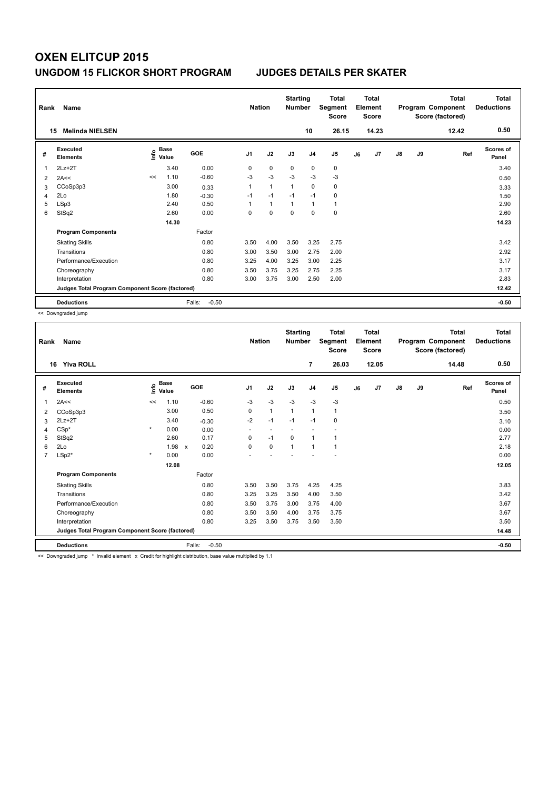| Rank | Name<br><b>Melinda NIELSEN</b><br>15            |      |                      |                   | <b>Nation</b>  |                | <b>Starting</b><br><b>Number</b> | 10             | <b>Total</b><br>Segment<br><b>Score</b><br>26.15 |    | <b>Total</b><br>Element<br><b>Score</b><br>14.23 |               |    | <b>Total</b><br>Program Component<br>Score (factored)<br>12.42 | Total<br><b>Deductions</b><br>0.50 |
|------|-------------------------------------------------|------|----------------------|-------------------|----------------|----------------|----------------------------------|----------------|--------------------------------------------------|----|--------------------------------------------------|---------------|----|----------------------------------------------------------------|------------------------------------|
| #    | Executed<br><b>Elements</b>                     | lnfo | <b>Base</b><br>Value | GOE               | J <sub>1</sub> | J2             | J3                               | J <sub>4</sub> | J5                                               | J6 | J7                                               | $\mathsf{J}8$ | J9 | Ref                                                            | <b>Scores of</b><br>Panel          |
| 1    | $2Lz+2T$                                        |      | 3.40                 | 0.00              | 0              | $\mathbf 0$    | $\mathbf 0$                      | $\mathbf 0$    | $\mathbf 0$                                      |    |                                                  |               |    |                                                                | 3.40                               |
| 2    | 2A<<                                            | <<   | 1.10                 | $-0.60$           | $-3$           | $-3$           | $-3$                             | $-3$           | $-3$                                             |    |                                                  |               |    |                                                                | 0.50                               |
| 3    | CCoSp3p3                                        |      | 3.00                 | 0.33              | 1              | $\overline{1}$ | $\overline{1}$                   | $\Omega$       | 0                                                |    |                                                  |               |    |                                                                | 3.33                               |
| 4    | 2Lo                                             |      | 1.80                 | $-0.30$           | $-1$           | $-1$           | $-1$                             | $-1$           | $\mathbf 0$                                      |    |                                                  |               |    |                                                                | 1.50                               |
| 5    | LSp3                                            |      | 2.40                 | 0.50              |                | $\overline{1}$ | $\overline{1}$                   | $\mathbf{1}$   | 1                                                |    |                                                  |               |    |                                                                | 2.90                               |
| 6    | StSq2                                           |      | 2.60                 | 0.00              | 0              | $\mathbf 0$    | $\mathbf 0$                      | $\mathbf 0$    | $\mathbf 0$                                      |    |                                                  |               |    |                                                                | 2.60                               |
|      |                                                 |      | 14.30                |                   |                |                |                                  |                |                                                  |    |                                                  |               |    |                                                                | 14.23                              |
|      | <b>Program Components</b>                       |      |                      | Factor            |                |                |                                  |                |                                                  |    |                                                  |               |    |                                                                |                                    |
|      | <b>Skating Skills</b>                           |      |                      | 0.80              | 3.50           | 4.00           | 3.50                             | 3.25           | 2.75                                             |    |                                                  |               |    |                                                                | 3.42                               |
|      | Transitions                                     |      |                      | 0.80              | 3.00           | 3.50           | 3.00                             | 2.75           | 2.00                                             |    |                                                  |               |    |                                                                | 2.92                               |
|      | Performance/Execution                           |      |                      | 0.80              | 3.25           | 4.00           | 3.25                             | 3.00           | 2.25                                             |    |                                                  |               |    |                                                                | 3.17                               |
|      | Choreography                                    |      |                      | 0.80              | 3.50           | 3.75           | 3.25                             | 2.75           | 2.25                                             |    |                                                  |               |    |                                                                | 3.17                               |
|      | Interpretation                                  |      |                      | 0.80              | 3.00           | 3.75           | 3.00                             | 2.50           | 2.00                                             |    |                                                  |               |    |                                                                | 2.83                               |
|      | Judges Total Program Component Score (factored) |      |                      |                   |                |                |                                  |                |                                                  |    |                                                  |               |    |                                                                | 12.42                              |
|      | <b>Deductions</b>                               |      |                      | $-0.50$<br>Falls: |                |                |                                  |                |                                                  |    |                                                  |               |    |                                                                | $-0.50$                            |

<< Downgraded jump

| Rank | Name                                            |         |                                  |                      |                          | <b>Nation</b> | <b>Starting</b><br><b>Number</b> |                | <b>Total</b><br>Segment<br><b>Score</b> |    | Total<br>Element<br><b>Score</b> |    |    | <b>Total</b><br>Program Component<br>Score (factored) | Total<br><b>Deductions</b> |
|------|-------------------------------------------------|---------|----------------------------------|----------------------|--------------------------|---------------|----------------------------------|----------------|-----------------------------------------|----|----------------------------------|----|----|-------------------------------------------------------|----------------------------|
| 16   | <b>Yiva ROLL</b>                                |         |                                  |                      |                          |               |                                  | $\overline{7}$ | 26.03                                   |    | 12.05                            |    |    | 14.48                                                 | 0.50                       |
| #    | <b>Executed</b><br><b>Elements</b>              |         | <b>Base</b><br>e Base<br>⊆ Value | <b>GOE</b>           | J <sub>1</sub>           | J2            | J3                               | J <sub>4</sub> | J <sub>5</sub>                          | J6 | J <sub>7</sub>                   | J8 | J9 | Ref                                                   | <b>Scores of</b><br>Panel  |
| 1    | 2A<<                                            | <<      | 1.10                             | $-0.60$              | $-3$                     | $-3$          | $-3$                             | $-3$           | $-3$                                    |    |                                  |    |    |                                                       | 0.50                       |
| 2    | CCoSp3p3                                        |         | 3.00                             | 0.50                 | $\Omega$                 | $\mathbf{1}$  | $\mathbf{1}$                     | $\mathbf{1}$   | 1                                       |    |                                  |    |    |                                                       | 3.50                       |
| 3    | $2Lz+2T$                                        |         | 3.40                             | $-0.30$              | $-2$                     | $-1$          | $-1$                             | $-1$           | 0                                       |    |                                  |    |    |                                                       | 3.10                       |
| 4    | $CSp^*$                                         | $\star$ | 0.00                             | 0.00                 | $\overline{\phantom{a}}$ |               |                                  |                |                                         |    |                                  |    |    |                                                       | 0.00                       |
| 5    | StSq2                                           |         | 2.60                             | 0.17                 | 0                        | $-1$          | $\mathbf 0$                      | $\mathbf{1}$   | 1                                       |    |                                  |    |    |                                                       | 2.77                       |
| 6    | 2Lo                                             |         | 1.98                             | 0.20<br>$\mathsf{x}$ | $\Omega$                 | 0             | $\mathbf{1}$                     | $\mathbf{1}$   | 1                                       |    |                                  |    |    |                                                       | 2.18                       |
| 7    | $LSp2*$                                         | $\star$ | 0.00                             | 0.00                 |                          |               |                                  |                |                                         |    |                                  |    |    |                                                       | 0.00                       |
|      |                                                 |         | 12.08                            |                      |                          |               |                                  |                |                                         |    |                                  |    |    |                                                       | 12.05                      |
|      | <b>Program Components</b>                       |         |                                  | Factor               |                          |               |                                  |                |                                         |    |                                  |    |    |                                                       |                            |
|      | <b>Skating Skills</b>                           |         |                                  | 0.80                 | 3.50                     | 3.50          | 3.75                             | 4.25           | 4.25                                    |    |                                  |    |    |                                                       | 3.83                       |
|      | Transitions                                     |         |                                  | 0.80                 | 3.25                     | 3.25          | 3.50                             | 4.00           | 3.50                                    |    |                                  |    |    |                                                       | 3.42                       |
|      | Performance/Execution                           |         |                                  | 0.80                 | 3.50                     | 3.75          | 3.00                             | 3.75           | 4.00                                    |    |                                  |    |    |                                                       | 3.67                       |
|      | Choreography                                    |         |                                  | 0.80                 | 3.50                     | 3.50          | 4.00                             | 3.75           | 3.75                                    |    |                                  |    |    |                                                       | 3.67                       |
|      | Interpretation                                  |         |                                  | 0.80                 | 3.25                     | 3.50          | 3.75                             | 3.50           | 3.50                                    |    |                                  |    |    |                                                       | 3.50                       |
|      | Judges Total Program Component Score (factored) |         |                                  |                      |                          |               |                                  |                |                                         |    |                                  |    |    |                                                       | 14.48                      |
|      | <b>Deductions</b>                               |         |                                  | $-0.50$<br>Falls:    |                          |               |                                  |                |                                         |    |                                  |    |    |                                                       | $-0.50$                    |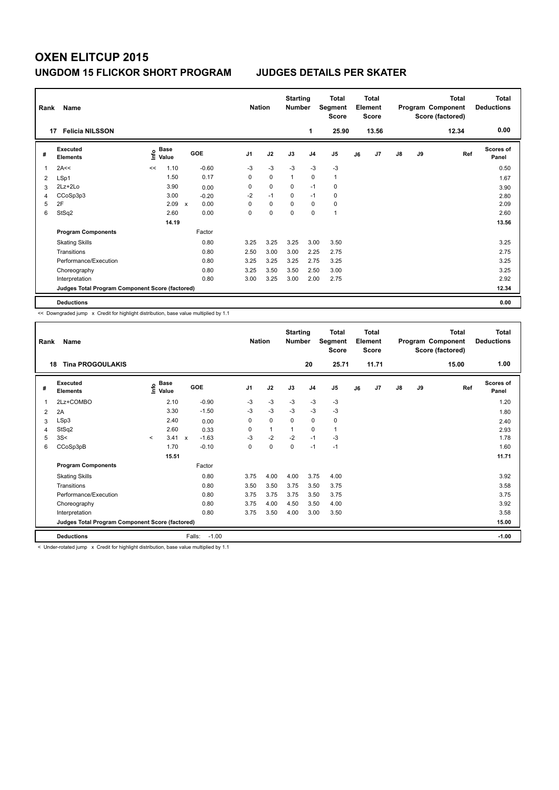| Rank | Name                                            |      |               |                           |         |                | <b>Nation</b> | <b>Starting</b><br><b>Number</b> |                | Total<br>Segment<br><b>Score</b> |    | <b>Total</b><br>Element<br><b>Score</b> |               |    | <b>Total</b><br>Program Component<br>Score (factored) | <b>Total</b><br><b>Deductions</b><br>0.00 |
|------|-------------------------------------------------|------|---------------|---------------------------|---------|----------------|---------------|----------------------------------|----------------|----------------------------------|----|-----------------------------------------|---------------|----|-------------------------------------------------------|-------------------------------------------|
|      | <b>Felicia NILSSON</b><br>17                    |      |               |                           |         |                |               |                                  | 1              | 25.90                            |    | 13.56                                   |               |    | 12.34                                                 |                                           |
| #    | Executed<br><b>Elements</b>                     | lnfo | Base<br>Value |                           | GOE     | J <sub>1</sub> | J2            | J3                               | J <sub>4</sub> | J <sub>5</sub>                   | J6 | J7                                      | $\mathsf{J}8$ | J9 | Ref                                                   | Scores of<br>Panel                        |
| 1    | 2A<<                                            | <<   | 1.10          |                           | $-0.60$ | $-3$           | $-3$          | $-3$                             | $-3$           | $-3$                             |    |                                         |               |    |                                                       | 0.50                                      |
| 2    | LSp1                                            |      | 1.50          |                           | 0.17    | 0              | $\Omega$      | $\overline{1}$                   | $\mathbf 0$    | $\mathbf{1}$                     |    |                                         |               |    |                                                       | 1.67                                      |
| 3    | $2Lz+2Lo$                                       |      | 3.90          |                           | 0.00    | 0              | $\mathbf 0$   | 0                                | $-1$           | 0                                |    |                                         |               |    |                                                       | 3.90                                      |
| 4    | CCoSp3p3                                        |      | 3.00          |                           | $-0.20$ | $-2$           | $-1$          | $\Omega$                         | $-1$           | 0                                |    |                                         |               |    |                                                       | 2.80                                      |
| 5    | 2F                                              |      | 2.09          | $\boldsymbol{\mathsf{x}}$ | 0.00    | 0              | $\mathbf 0$   | 0                                | $\mathbf 0$    | 0                                |    |                                         |               |    |                                                       | 2.09                                      |
| 6    | StSq2                                           |      | 2.60          |                           | 0.00    | 0              | $\mathbf 0$   | $\Omega$                         | 0              | 1                                |    |                                         |               |    |                                                       | 2.60                                      |
|      |                                                 |      | 14.19         |                           |         |                |               |                                  |                |                                  |    |                                         |               |    |                                                       | 13.56                                     |
|      | <b>Program Components</b>                       |      |               |                           | Factor  |                |               |                                  |                |                                  |    |                                         |               |    |                                                       |                                           |
|      | <b>Skating Skills</b>                           |      |               |                           | 0.80    | 3.25           | 3.25          | 3.25                             | 3.00           | 3.50                             |    |                                         |               |    |                                                       | 3.25                                      |
|      | Transitions                                     |      |               |                           | 0.80    | 2.50           | 3.00          | 3.00                             | 2.25           | 2.75                             |    |                                         |               |    |                                                       | 2.75                                      |
|      | Performance/Execution                           |      |               |                           | 0.80    | 3.25           | 3.25          | 3.25                             | 2.75           | 3.25                             |    |                                         |               |    |                                                       | 3.25                                      |
|      | Choreography                                    |      |               |                           | 0.80    | 3.25           | 3.50          | 3.50                             | 2.50           | 3.00                             |    |                                         |               |    |                                                       | 3.25                                      |
|      | Interpretation                                  |      |               |                           | 0.80    | 3.00           | 3.25          | 3.00                             | 2.00           | 2.75                             |    |                                         |               |    |                                                       | 2.92                                      |
|      | Judges Total Program Component Score (factored) |      |               |                           |         |                |               |                                  |                |                                  |    |                                         |               |    |                                                       | 12.34                                     |
|      | <b>Deductions</b>                               |      |               |                           |         |                |               |                                  |                |                                  |    |                                         |               |    |                                                       | 0.00                                      |

<< Downgraded jump x Credit for highlight distribution, base value multiplied by 1.1

| Rank | Name                                            |         |                      |                           |         | <b>Nation</b>  |              | <b>Starting</b><br><b>Number</b> |                | <b>Total</b><br>Segment<br>Score |    | Total<br>Element<br>Score |    |    | <b>Total</b><br>Program Component<br>Score (factored) | Total<br><b>Deductions</b> |
|------|-------------------------------------------------|---------|----------------------|---------------------------|---------|----------------|--------------|----------------------------------|----------------|----------------------------------|----|---------------------------|----|----|-------------------------------------------------------|----------------------------|
| 18   | <b>Tina PROGOULAKIS</b>                         |         |                      |                           |         |                |              |                                  | 20             | 25.71                            |    | 11.71                     |    |    | 15.00                                                 | 1.00                       |
| #    | Executed<br><b>Elements</b>                     | ١nfo    | <b>Base</b><br>Value | <b>GOE</b>                |         | J <sub>1</sub> | J2           | J3                               | J <sub>4</sub> | J <sub>5</sub>                   | J6 | J7                        | J8 | J9 | Ref                                                   | <b>Scores of</b><br>Panel  |
| 1    | 2Lz+COMBO                                       |         | 2.10                 |                           | $-0.90$ | $-3$           | $-3$         | $-3$                             | $-3$           | $-3$                             |    |                           |    |    |                                                       | 1.20                       |
| 2    | 2A                                              |         | 3.30                 |                           | $-1.50$ | $-3$           | $-3$         | $-3$                             | $-3$           | $-3$                             |    |                           |    |    |                                                       | 1.80                       |
| 3    | LSp3                                            |         | 2.40                 |                           | 0.00    | 0              | 0            | $\mathbf 0$                      | $\mathbf 0$    | 0                                |    |                           |    |    |                                                       | 2.40                       |
| 4    | StSq2                                           |         | 2.60                 |                           | 0.33    | 0              | $\mathbf{1}$ | $\mathbf{1}$                     | 0              | 1                                |    |                           |    |    |                                                       | 2.93                       |
| 5    | 3S<                                             | $\prec$ | 3.41                 | $\boldsymbol{\mathsf{x}}$ | $-1.63$ | -3             | $-2$         | $-2$                             | $-1$           | $-3$                             |    |                           |    |    |                                                       | 1.78                       |
| 6    | CCoSp3pB                                        |         | 1.70                 |                           | $-0.10$ | 0              | 0            | 0                                | $-1$           | $-1$                             |    |                           |    |    |                                                       | 1.60                       |
|      |                                                 |         | 15.51                |                           |         |                |              |                                  |                |                                  |    |                           |    |    |                                                       | 11.71                      |
|      | <b>Program Components</b>                       |         |                      |                           | Factor  |                |              |                                  |                |                                  |    |                           |    |    |                                                       |                            |
|      | <b>Skating Skills</b>                           |         |                      |                           | 0.80    | 3.75           | 4.00         | 4.00                             | 3.75           | 4.00                             |    |                           |    |    |                                                       | 3.92                       |
|      | Transitions                                     |         |                      |                           | 0.80    | 3.50           | 3.50         | 3.75                             | 3.50           | 3.75                             |    |                           |    |    |                                                       | 3.58                       |
|      | Performance/Execution                           |         |                      |                           | 0.80    | 3.75           | 3.75         | 3.75                             | 3.50           | 3.75                             |    |                           |    |    |                                                       | 3.75                       |
|      | Choreography                                    |         |                      |                           | 0.80    | 3.75           | 4.00         | 4.50                             | 3.50           | 4.00                             |    |                           |    |    |                                                       | 3.92                       |
|      | Interpretation                                  |         |                      |                           | 0.80    | 3.75           | 3.50         | 4.00                             | 3.00           | 3.50                             |    |                           |    |    |                                                       | 3.58                       |
|      | Judges Total Program Component Score (factored) |         |                      |                           |         |                |              |                                  |                |                                  |    |                           |    |    |                                                       | 15.00                      |
|      | <b>Deductions</b>                               |         |                      | Falls:                    | $-1.00$ |                |              |                                  |                |                                  |    |                           |    |    |                                                       | $-1.00$                    |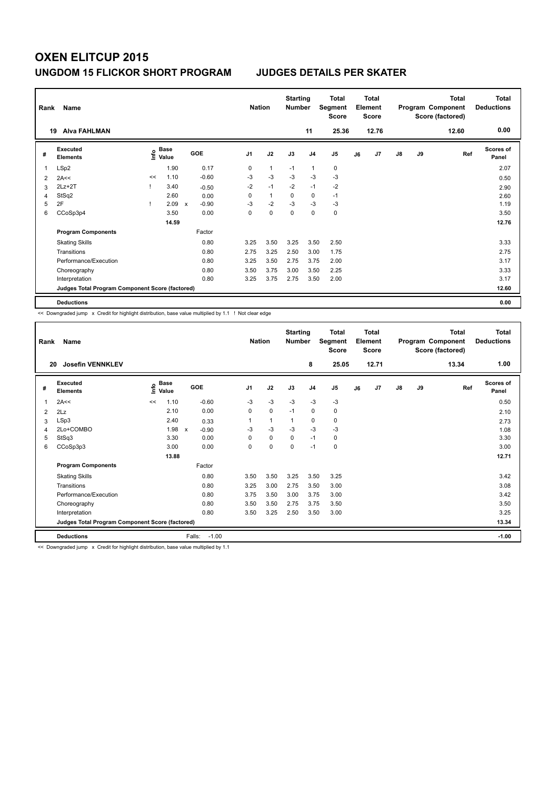| Rank           | Name                                            |    |                                  |              |         |                | <b>Nation</b> | <b>Starting</b><br><b>Number</b> |                | <b>Total</b><br>Segment<br><b>Score</b> |    | <b>Total</b><br>Element<br><b>Score</b> |               |    | <b>Total</b><br>Program Component<br>Score (factored) | <b>Total</b><br><b>Deductions</b> |
|----------------|-------------------------------------------------|----|----------------------------------|--------------|---------|----------------|---------------|----------------------------------|----------------|-----------------------------------------|----|-----------------------------------------|---------------|----|-------------------------------------------------------|-----------------------------------|
|                | <b>Alva FAHLMAN</b><br>19                       |    |                                  |              |         |                |               |                                  | 11             | 25.36                                   |    | 12.76                                   |               |    | 12.60                                                 | 0.00                              |
| #              | <b>Executed</b><br><b>Elements</b>              |    | <b>Base</b><br>e Base<br>⊆ Value |              | GOE     | J <sub>1</sub> | J2            | J3                               | J <sub>4</sub> | J5                                      | J6 | J7                                      | $\mathsf{J}8$ | J9 | Ref                                                   | <b>Scores of</b><br>Panel         |
| 1              | LSp2                                            |    | 1.90                             |              | 0.17    | 0              | $\mathbf{1}$  | $-1$                             | $\overline{1}$ | $\mathbf 0$                             |    |                                         |               |    |                                                       | 2.07                              |
| $\overline{2}$ | 2A<<                                            | << | 1.10                             |              | $-0.60$ | $-3$           | $-3$          | $-3$                             | $-3$           | $-3$                                    |    |                                         |               |    |                                                       | 0.50                              |
| 3              | $2Lz + 2T$                                      |    | 3.40                             |              | $-0.50$ | $-2$           | $-1$          | $-2$                             | $-1$           | $-2$                                    |    |                                         |               |    |                                                       | 2.90                              |
| 4              | StSq2                                           |    | 2.60                             |              | 0.00    | 0              | $\mathbf{1}$  | 0                                | 0              | $-1$                                    |    |                                         |               |    |                                                       | 2.60                              |
| 5              | 2F                                              |    | 2.09                             | $\mathsf{x}$ | $-0.90$ | $-3$           | $-2$          | $-3$                             | $-3$           | $-3$                                    |    |                                         |               |    |                                                       | 1.19                              |
| 6              | CCoSp3p4                                        |    | 3.50                             |              | 0.00    | 0              | $\mathbf 0$   | 0                                | 0              | $\pmb{0}$                               |    |                                         |               |    |                                                       | 3.50                              |
|                |                                                 |    | 14.59                            |              |         |                |               |                                  |                |                                         |    |                                         |               |    |                                                       | 12.76                             |
|                | <b>Program Components</b>                       |    |                                  |              | Factor  |                |               |                                  |                |                                         |    |                                         |               |    |                                                       |                                   |
|                | <b>Skating Skills</b>                           |    |                                  |              | 0.80    | 3.25           | 3.50          | 3.25                             | 3.50           | 2.50                                    |    |                                         |               |    |                                                       | 3.33                              |
|                | Transitions                                     |    |                                  |              | 0.80    | 2.75           | 3.25          | 2.50                             | 3.00           | 1.75                                    |    |                                         |               |    |                                                       | 2.75                              |
|                | Performance/Execution                           |    |                                  |              | 0.80    | 3.25           | 3.50          | 2.75                             | 3.75           | 2.00                                    |    |                                         |               |    |                                                       | 3.17                              |
|                | Choreography                                    |    |                                  |              | 0.80    | 3.50           | 3.75          | 3.00                             | 3.50           | 2.25                                    |    |                                         |               |    |                                                       | 3.33                              |
|                | Interpretation                                  |    |                                  |              | 0.80    | 3.25           | 3.75          | 2.75                             | 3.50           | 2.00                                    |    |                                         |               |    |                                                       | 3.17                              |
|                | Judges Total Program Component Score (factored) |    |                                  |              |         |                |               |                                  |                |                                         |    |                                         |               |    |                                                       | 12.60                             |
|                | <b>Deductions</b>                               |    |                                  |              |         |                |               |                                  |                |                                         |    |                                         |               |    |                                                       | 0.00                              |

<< Downgraded jump x Credit for highlight distribution, base value multiplied by 1.1 ! Not clear edge

| Rank | Name                                            |    |                                  |                                      | <b>Nation</b>  |              | <b>Starting</b><br><b>Number</b> |                | <b>Total</b><br>Segment<br><b>Score</b> |    | Total<br>Element<br><b>Score</b> |               |    | Total<br>Program Component<br>Score (factored) | <b>Total</b><br><b>Deductions</b> |
|------|-------------------------------------------------|----|----------------------------------|--------------------------------------|----------------|--------------|----------------------------------|----------------|-----------------------------------------|----|----------------------------------|---------------|----|------------------------------------------------|-----------------------------------|
| 20   | <b>Josefin VENNKLEV</b>                         |    |                                  |                                      |                |              |                                  | 8              | 25.05                                   |    | 12.71                            |               |    | 13.34                                          | 1.00                              |
| #    | <b>Executed</b><br><b>Elements</b>              |    | <b>Base</b><br>e Base<br>⊆ Value | GOE                                  | J <sub>1</sub> | J2           | J3                               | J <sub>4</sub> | J <sub>5</sub>                          | J6 | J7                               | $\mathsf{J}8$ | J9 | Ref                                            | <b>Scores of</b><br>Panel         |
| 1    | 2A<<                                            | << | 1.10                             | $-0.60$                              | $-3$           | $-3$         | $-3$                             | $-3$           | $-3$                                    |    |                                  |               |    |                                                | 0.50                              |
| 2    | 2Lz                                             |    | 2.10                             | 0.00                                 | 0              | 0            | $-1$                             | 0              | 0                                       |    |                                  |               |    |                                                | 2.10                              |
| 3    | LSp3                                            |    | 2.40                             | 0.33                                 | 1              | $\mathbf{1}$ | 1                                | $\mathbf 0$    | 0                                       |    |                                  |               |    |                                                | 2.73                              |
| 4    | 2Lo+COMBO                                       |    | 1.98                             | $\boldsymbol{\mathsf{x}}$<br>$-0.90$ | $-3$           | $-3$         | $-3$                             | $-3$           | $-3$                                    |    |                                  |               |    |                                                | 1.08                              |
| 5    | StSq3                                           |    | 3.30                             | 0.00                                 | $\Omega$       | 0            | 0                                | $-1$           | 0                                       |    |                                  |               |    |                                                | 3.30                              |
| 6    | CCoSp3p3                                        |    | 3.00                             | 0.00                                 | 0              | $\mathbf 0$  | 0                                | $-1$           | 0                                       |    |                                  |               |    |                                                | 3.00                              |
|      |                                                 |    | 13.88                            |                                      |                |              |                                  |                |                                         |    |                                  |               |    |                                                | 12.71                             |
|      | <b>Program Components</b>                       |    |                                  | Factor                               |                |              |                                  |                |                                         |    |                                  |               |    |                                                |                                   |
|      | <b>Skating Skills</b>                           |    |                                  | 0.80                                 | 3.50           | 3.50         | 3.25                             | 3.50           | 3.25                                    |    |                                  |               |    |                                                | 3.42                              |
|      | Transitions                                     |    |                                  | 0.80                                 | 3.25           | 3.00         | 2.75                             | 3.50           | 3.00                                    |    |                                  |               |    |                                                | 3.08                              |
|      | Performance/Execution                           |    |                                  | 0.80                                 | 3.75           | 3.50         | 3.00                             | 3.75           | 3.00                                    |    |                                  |               |    |                                                | 3.42                              |
|      | Choreography                                    |    |                                  | 0.80                                 | 3.50           | 3.50         | 2.75                             | 3.75           | 3.50                                    |    |                                  |               |    |                                                | 3.50                              |
|      | Interpretation                                  |    |                                  | 0.80                                 | 3.50           | 3.25         | 2.50                             | 3.50           | 3.00                                    |    |                                  |               |    |                                                | 3.25                              |
|      | Judges Total Program Component Score (factored) |    |                                  |                                      |                |              |                                  |                |                                         |    |                                  |               |    |                                                | 13.34                             |
|      | <b>Deductions</b>                               |    |                                  | Falls:<br>$-1.00$                    |                |              |                                  |                |                                         |    |                                  |               |    |                                                | $-1.00$                           |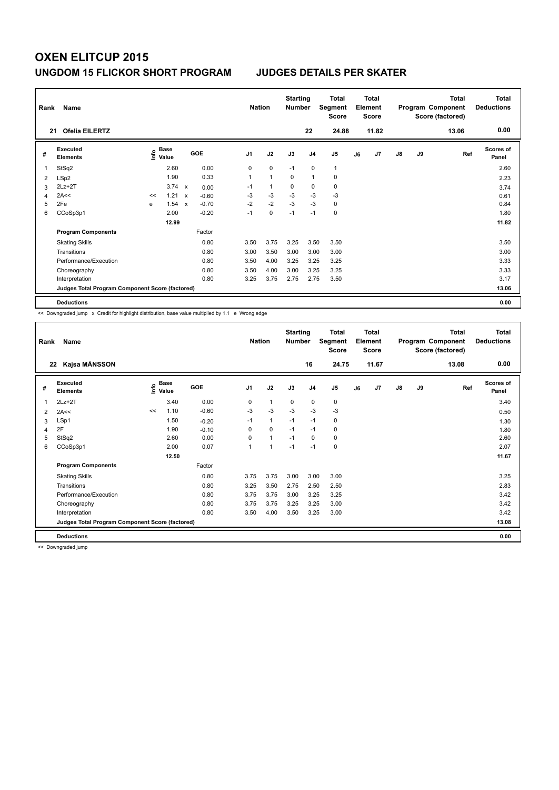| Rank | Name                                            |    |                                  |                           |            |                | <b>Nation</b>  | <b>Starting</b><br><b>Number</b> |                | <b>Total</b><br>Segment<br><b>Score</b> |    | <b>Total</b><br>Element<br><b>Score</b> |               |    | <b>Total</b><br>Program Component<br>Score (factored) | <b>Total</b><br><b>Deductions</b> |
|------|-------------------------------------------------|----|----------------------------------|---------------------------|------------|----------------|----------------|----------------------------------|----------------|-----------------------------------------|----|-----------------------------------------|---------------|----|-------------------------------------------------------|-----------------------------------|
|      | <b>Ofelia EILERTZ</b><br>21                     |    |                                  |                           |            |                |                |                                  | 22             | 24.88                                   |    | 11.82                                   |               |    | 13.06                                                 | 0.00                              |
| #    | <b>Executed</b><br><b>Elements</b>              |    | <b>Base</b><br>e Base<br>⊆ Value |                           | <b>GOE</b> | J <sub>1</sub> | J2             | J3                               | J <sub>4</sub> | J5                                      | J6 | J7                                      | $\mathsf{J}8$ | J9 | Ref                                                   | <b>Scores of</b><br>Panel         |
| 1    | StSq2                                           |    | 2.60                             |                           | 0.00       | 0              | 0              | $-1$                             | 0              | 1                                       |    |                                         |               |    |                                                       | 2.60                              |
| 2    | LSp2                                            |    | 1.90                             |                           | 0.33       | 1              | $\overline{1}$ | $\mathbf 0$                      | $\overline{1}$ | 0                                       |    |                                         |               |    |                                                       | 2.23                              |
| 3    | $2Lz+2T$                                        |    | 3.74                             | $\boldsymbol{\mathsf{x}}$ | 0.00       | $-1$           | $\mathbf{1}$   | 0                                | $\pmb{0}$      | $\pmb{0}$                               |    |                                         |               |    |                                                       | 3.74                              |
| 4    | 2A<<                                            | << | 1.21                             | $\boldsymbol{\mathsf{x}}$ | $-0.60$    | $-3$           | $-3$           | $-3$                             | $-3$           | $-3$                                    |    |                                         |               |    |                                                       | 0.61                              |
| 5    | 2Fe                                             | e  | 1.54                             | $\mathsf{x}$              | $-0.70$    | $-2$           | $-2$           | $-3$                             | $-3$           | 0                                       |    |                                         |               |    |                                                       | 0.84                              |
| 6    | CCoSp3p1                                        |    | 2.00                             |                           | $-0.20$    | $-1$           | 0              | $-1$                             | $-1$           | 0                                       |    |                                         |               |    |                                                       | 1.80                              |
|      |                                                 |    | 12.99                            |                           |            |                |                |                                  |                |                                         |    |                                         |               |    |                                                       | 11.82                             |
|      | <b>Program Components</b>                       |    |                                  |                           | Factor     |                |                |                                  |                |                                         |    |                                         |               |    |                                                       |                                   |
|      | <b>Skating Skills</b>                           |    |                                  |                           | 0.80       | 3.50           | 3.75           | 3.25                             | 3.50           | 3.50                                    |    |                                         |               |    |                                                       | 3.50                              |
|      | Transitions                                     |    |                                  |                           | 0.80       | 3.00           | 3.50           | 3.00                             | 3.00           | 3.00                                    |    |                                         |               |    |                                                       | 3.00                              |
|      | Performance/Execution                           |    |                                  |                           | 0.80       | 3.50           | 4.00           | 3.25                             | 3.25           | 3.25                                    |    |                                         |               |    |                                                       | 3.33                              |
|      | Choreography                                    |    |                                  |                           | 0.80       | 3.50           | 4.00           | 3.00                             | 3.25           | 3.25                                    |    |                                         |               |    |                                                       | 3.33                              |
|      | Interpretation                                  |    |                                  |                           | 0.80       | 3.25           | 3.75           | 2.75                             | 2.75           | 3.50                                    |    |                                         |               |    |                                                       | 3.17                              |
|      | Judges Total Program Component Score (factored) |    |                                  |                           |            |                |                |                                  |                |                                         |    |                                         |               |    |                                                       | 13.06                             |
|      | <b>Deductions</b>                               |    |                                  |                           |            |                |                |                                  |                |                                         |    |                                         |               |    |                                                       | 0.00                              |

<< Downgraded jump x Credit for highlight distribution, base value multiplied by 1.1 e Wrong edge

| Rank           | Name                                            |    |                      |         | <b>Nation</b>  |                | <b>Starting</b><br><b>Number</b> |                | <b>Total</b><br>Segment<br><b>Score</b> |    | <b>Total</b><br>Element<br><b>Score</b> |               |    | <b>Total</b><br>Program Component<br>Score (factored) | <b>Total</b><br><b>Deductions</b> |
|----------------|-------------------------------------------------|----|----------------------|---------|----------------|----------------|----------------------------------|----------------|-----------------------------------------|----|-----------------------------------------|---------------|----|-------------------------------------------------------|-----------------------------------|
| 22             | Kajsa MÅNSSON                                   |    |                      |         |                |                |                                  | 16             | 24.75                                   |    | 11.67                                   |               |    | 13.08                                                 | 0.00                              |
| #              | <b>Executed</b><br><b>Elements</b>              | ۴  | <b>Base</b><br>Value | GOE     | J <sub>1</sub> | J2             | J3                               | J <sub>4</sub> | J5                                      | J6 | J7                                      | $\mathsf{J}8$ | J9 | Ref                                                   | Scores of<br>Panel                |
| 1              | $2Lz+2T$                                        |    | 3.40                 | 0.00    | 0              | 1              | 0                                | $\mathbf 0$    | 0                                       |    |                                         |               |    |                                                       | 3.40                              |
| $\overline{2}$ | 2A<<                                            | << | 1.10                 | $-0.60$ | $-3$           | $-3$           | $-3$                             | $-3$           | $-3$                                    |    |                                         |               |    |                                                       | 0.50                              |
| 3              | LSp1                                            |    | 1.50                 | $-0.20$ | $-1$           | $\mathbf{1}$   | $-1$                             | $-1$           | 0                                       |    |                                         |               |    |                                                       | 1.30                              |
| 4              | 2F                                              |    | 1.90                 | $-0.10$ | 0              | $\Omega$       | $-1$                             | $-1$           | 0                                       |    |                                         |               |    |                                                       | 1.80                              |
| 5              | StSq2                                           |    | 2.60                 | 0.00    | 0              | $\mathbf{1}$   | $-1$                             | 0              | 0                                       |    |                                         |               |    |                                                       | 2.60                              |
| 6              | CCoSp3p1                                        |    | 2.00                 | 0.07    | 1              | $\overline{1}$ | $-1$                             | $-1$           | 0                                       |    |                                         |               |    |                                                       | 2.07                              |
|                |                                                 |    | 12.50                |         |                |                |                                  |                |                                         |    |                                         |               |    |                                                       | 11.67                             |
|                | <b>Program Components</b>                       |    |                      | Factor  |                |                |                                  |                |                                         |    |                                         |               |    |                                                       |                                   |
|                | <b>Skating Skills</b>                           |    |                      | 0.80    | 3.75           | 3.75           | 3.00                             | 3.00           | 3.00                                    |    |                                         |               |    |                                                       | 3.25                              |
|                | Transitions                                     |    |                      | 0.80    | 3.25           | 3.50           | 2.75                             | 2.50           | 2.50                                    |    |                                         |               |    |                                                       | 2.83                              |
|                | Performance/Execution                           |    |                      | 0.80    | 3.75           | 3.75           | 3.00                             | 3.25           | 3.25                                    |    |                                         |               |    |                                                       | 3.42                              |
|                | Choreography                                    |    |                      | 0.80    | 3.75           | 3.75           | 3.25                             | 3.25           | 3.00                                    |    |                                         |               |    |                                                       | 3.42                              |
|                | Interpretation                                  |    |                      | 0.80    | 3.50           | 4.00           | 3.50                             | 3.25           | 3.00                                    |    |                                         |               |    |                                                       | 3.42                              |
|                | Judges Total Program Component Score (factored) |    |                      |         |                |                |                                  |                |                                         |    |                                         |               |    |                                                       | 13.08                             |
|                | <b>Deductions</b>                               |    |                      |         |                |                |                                  |                |                                         |    |                                         |               |    |                                                       | 0.00                              |

<< Downgraded jump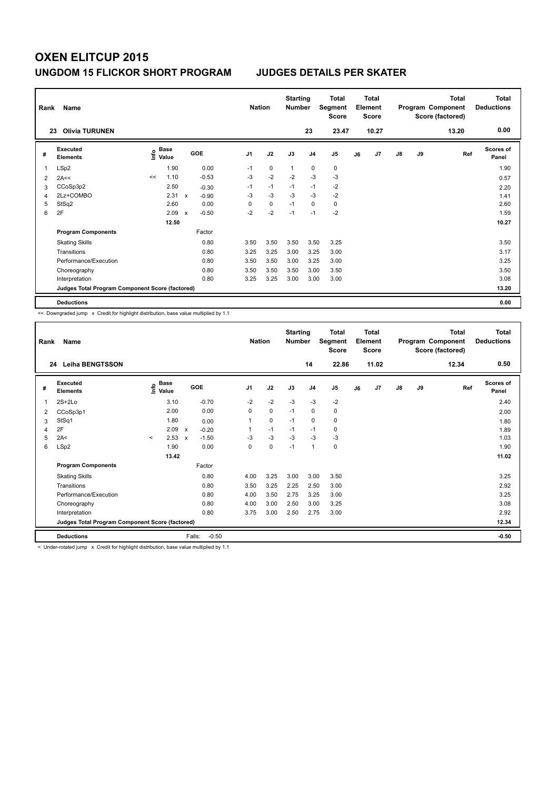| Rank | Name<br><b>Olivia TURUNEN</b><br>23             |      |       |                           |         |                | <b>Nation</b> | <b>Starting</b><br><b>Number</b> | 23             | Total<br>Segment<br><b>Score</b><br>23.47 |    | <b>Total</b><br>Element<br><b>Score</b><br>10.27 |               |    | <b>Total</b><br>Program Component<br>Score (factored)<br>13.20 | <b>Total</b><br><b>Deductions</b><br>0.00 |
|------|-------------------------------------------------|------|-------|---------------------------|---------|----------------|---------------|----------------------------------|----------------|-------------------------------------------|----|--------------------------------------------------|---------------|----|----------------------------------------------------------------|-------------------------------------------|
|      | Executed                                        |      | Base  |                           | GOE     | J <sub>1</sub> | J2            | J3                               | J <sub>4</sub> | J <sub>5</sub>                            | J6 | J7                                               | $\mathsf{J}8$ | J9 | Ref                                                            | Scores of                                 |
| #    | <b>Elements</b>                                 | ١nfo | Value |                           |         |                |               |                                  |                |                                           |    |                                                  |               |    |                                                                | Panel                                     |
| 1    | LSp2                                            |      | 1.90  |                           | 0.00    | $-1$           | 0             | $\overline{1}$                   | 0              | 0                                         |    |                                                  |               |    |                                                                | 1.90                                      |
| 2    | 2A<<                                            | <<   | 1.10  |                           | $-0.53$ | $-3$           | $-2$          | $-2$                             | $-3$           | $-3$                                      |    |                                                  |               |    |                                                                | 0.57                                      |
| 3    | CCoSp3p2                                        |      | 2.50  |                           | $-0.30$ | $-1$           | $-1$          | $-1$                             | $-1$           | $-2$                                      |    |                                                  |               |    |                                                                | 2.20                                      |
| 4    | 2Lz+COMBO                                       |      | 2.31  | $\mathbf{x}$              | $-0.90$ | $-3$           | $-3$          | $-3$                             | $-3$           | $-2$                                      |    |                                                  |               |    |                                                                | 1.41                                      |
| 5    | StSq2                                           |      | 2.60  |                           | 0.00    | 0              | $\mathbf 0$   | $-1$                             | $\mathbf 0$    | 0                                         |    |                                                  |               |    |                                                                | 2.60                                      |
| 6    | 2F                                              |      | 2.09  | $\boldsymbol{\mathsf{x}}$ | $-0.50$ | $-2$           | $-2$          | $-1$                             | $-1$           | $-2$                                      |    |                                                  |               |    |                                                                | 1.59                                      |
|      |                                                 |      | 12.50 |                           |         |                |               |                                  |                |                                           |    |                                                  |               |    |                                                                | 10.27                                     |
|      | <b>Program Components</b>                       |      |       |                           | Factor  |                |               |                                  |                |                                           |    |                                                  |               |    |                                                                |                                           |
|      | <b>Skating Skills</b>                           |      |       |                           | 0.80    | 3.50           | 3.50          | 3.50                             | 3.50           | 3.25                                      |    |                                                  |               |    |                                                                | 3.50                                      |
|      | Transitions                                     |      |       |                           | 0.80    | 3.25           | 3.25          | 3.00                             | 3.25           | 3.00                                      |    |                                                  |               |    |                                                                | 3.17                                      |
|      | Performance/Execution                           |      |       |                           | 0.80    | 3.50           | 3.50          | 3.00                             | 3.25           | 3.00                                      |    |                                                  |               |    |                                                                | 3.25                                      |
|      | Choreography                                    |      |       |                           | 0.80    | 3.50           | 3.50          | 3.50                             | 3.00           | 3.50                                      |    |                                                  |               |    |                                                                | 3.50                                      |
|      | Interpretation                                  |      |       |                           | 0.80    | 3.25           | 3.25          | 3.00                             | 3.00           | 3.00                                      |    |                                                  |               |    |                                                                | 3.08                                      |
|      | Judges Total Program Component Score (factored) |      |       |                           |         |                |               |                                  |                |                                           |    |                                                  |               |    |                                                                | 13.20                                     |
|      | <b>Deductions</b>                               |      |       |                           |         |                |               |                                  |                |                                           |    |                                                  |               |    |                                                                | 0.00                                      |

<< Downgraded jump x Credit for highlight distribution, base value multiplied by 1.1

| Rank | Name                                            |         |                                  |                                      |         | <b>Nation</b>  |           | <b>Starting</b><br><b>Number</b> |                | <b>Total</b><br>Segment<br><b>Score</b> |    | Total<br>Element<br><b>Score</b> |    |    | Total<br>Program Component<br>Score (factored) | Total<br><b>Deductions</b> |
|------|-------------------------------------------------|---------|----------------------------------|--------------------------------------|---------|----------------|-----------|----------------------------------|----------------|-----------------------------------------|----|----------------------------------|----|----|------------------------------------------------|----------------------------|
| 24   | <b>Leiha BENGTSSON</b>                          |         |                                  |                                      |         |                |           |                                  | 14             | 22.86                                   |    | 11.02                            |    |    | 12.34                                          | 0.50                       |
| #    | Executed<br><b>Elements</b>                     |         | <b>Base</b><br>e Base<br>⊆ Value | GOE                                  |         | J <sub>1</sub> | J2        | J3                               | J <sub>4</sub> | J <sub>5</sub>                          | J6 | J <sub>7</sub>                   | J8 | J9 | Ref                                            | Scores of<br>Panel         |
| 1    | $2S+2Lo$                                        |         | 3.10                             | $-0.70$                              |         | $-2$           | $-2$      | $-3$                             | $-3$           | $-2$                                    |    |                                  |    |    |                                                | 2.40                       |
| 2    | CCoSp3p1                                        |         | 2.00                             |                                      | 0.00    | 0              | 0         | $-1$                             | 0              | 0                                       |    |                                  |    |    |                                                | 2.00                       |
| 3    | StSq1                                           |         | 1.80                             |                                      | 0.00    |                | 0         | $-1$                             | 0              | 0                                       |    |                                  |    |    |                                                | 1.80                       |
| 4    | 2F                                              |         | 2.09                             | $-0.20$<br>$\pmb{\chi}$              |         |                | $-1$      | $-1$                             | $-1$           | 0                                       |    |                                  |    |    |                                                | 1.89                       |
| 5    | 2A<                                             | $\prec$ | 2.53                             | $-1.50$<br>$\boldsymbol{\mathsf{x}}$ |         | -3             | $-3$      | $-3$                             | $-3$           | $-3$                                    |    |                                  |    |    |                                                | 1.03                       |
| 6    | LSp2                                            |         | 1.90                             |                                      | 0.00    | 0              | $\pmb{0}$ | $-1$                             | $\mathbf{1}$   | 0                                       |    |                                  |    |    |                                                | 1.90                       |
|      |                                                 |         | 13.42                            |                                      |         |                |           |                                  |                |                                         |    |                                  |    |    |                                                | 11.02                      |
|      | <b>Program Components</b>                       |         |                                  | Factor                               |         |                |           |                                  |                |                                         |    |                                  |    |    |                                                |                            |
|      | <b>Skating Skills</b>                           |         |                                  |                                      | 0.80    | 4.00           | 3.25      | 3.00                             | 3.00           | 3.50                                    |    |                                  |    |    |                                                | 3.25                       |
|      | Transitions                                     |         |                                  |                                      | 0.80    | 3.50           | 3.25      | 2.25                             | 2.50           | 3.00                                    |    |                                  |    |    |                                                | 2.92                       |
|      | Performance/Execution                           |         |                                  |                                      | 0.80    | 4.00           | 3.50      | 2.75                             | 3.25           | 3.00                                    |    |                                  |    |    |                                                | 3.25                       |
|      | Choreography                                    |         |                                  |                                      | 0.80    | 4.00           | 3.00      | 2.50                             | 3.00           | 3.25                                    |    |                                  |    |    |                                                | 3.08                       |
|      | Interpretation                                  |         |                                  |                                      | 0.80    | 3.75           | 3.00      | 2.50                             | 2.75           | 3.00                                    |    |                                  |    |    |                                                | 2.92                       |
|      | Judges Total Program Component Score (factored) |         |                                  |                                      |         |                |           |                                  |                |                                         |    |                                  |    |    |                                                | 12.34                      |
|      | <b>Deductions</b>                               |         |                                  | Falls:                               | $-0.50$ |                |           |                                  |                |                                         |    |                                  |    |    |                                                | $-0.50$                    |